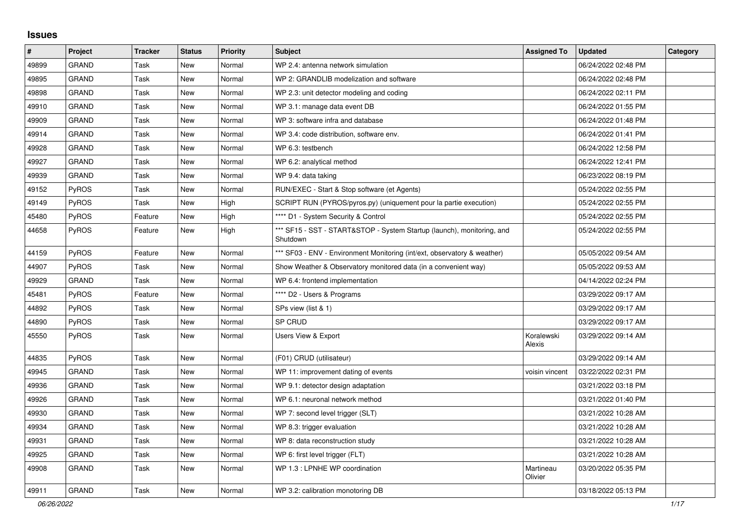## **Issues**

| $\sharp$ | Project      | <b>Tracker</b> | <b>Status</b> | Priority | <b>Subject</b>                                                                     | <b>Assigned To</b>   | <b>Updated</b>      | Category |
|----------|--------------|----------------|---------------|----------|------------------------------------------------------------------------------------|----------------------|---------------------|----------|
| 49899    | GRAND        | Task           | <b>New</b>    | Normal   | WP 2.4: antenna network simulation                                                 |                      | 06/24/2022 02:48 PM |          |
| 49895    | <b>GRAND</b> | Task           | <b>New</b>    | Normal   | WP 2: GRANDLIB modelization and software                                           |                      | 06/24/2022 02:48 PM |          |
| 49898    | GRAND        | Task           | <b>New</b>    | Normal   | WP 2.3: unit detector modeling and coding                                          |                      | 06/24/2022 02:11 PM |          |
| 49910    | <b>GRAND</b> | Task           | <b>New</b>    | Normal   | WP 3.1: manage data event DB                                                       |                      | 06/24/2022 01:55 PM |          |
| 49909    | GRAND        | Task           | <b>New</b>    | Normal   | WP 3: software infra and database                                                  |                      | 06/24/2022 01:48 PM |          |
| 49914    | GRAND        | Task           | <b>New</b>    | Normal   | WP 3.4: code distribution, software env.                                           |                      | 06/24/2022 01:41 PM |          |
| 49928    | GRAND        | Task           | New           | Normal   | WP 6.3: testbench                                                                  |                      | 06/24/2022 12:58 PM |          |
| 49927    | GRAND        | Task           | <b>New</b>    | Normal   | WP 6.2: analytical method                                                          |                      | 06/24/2022 12:41 PM |          |
| 49939    | <b>GRAND</b> | Task           | <b>New</b>    | Normal   | WP 9.4: data taking                                                                |                      | 06/23/2022 08:19 PM |          |
| 49152    | <b>PyROS</b> | Task           | New           | Normal   | RUN/EXEC - Start & Stop software (et Agents)                                       |                      | 05/24/2022 02:55 PM |          |
| 49149    | PyROS        | Task           | <b>New</b>    | High     | SCRIPT RUN (PYROS/pyros.py) (uniquement pour la partie execution)                  |                      | 05/24/2022 02:55 PM |          |
| 45480    | PyROS        | Feature        | New           | High     | **** D1 - System Security & Control                                                |                      | 05/24/2022 02:55 PM |          |
| 44658    | PyROS        | Feature        | <b>New</b>    | High     | *** SF15 - SST - START&STOP - System Startup (launch), monitoring, and<br>Shutdown |                      | 05/24/2022 02:55 PM |          |
| 44159    | PyROS        | Feature        | New           | Normal   | *** SF03 - ENV - Environment Monitoring (int/ext, observatory & weather)           |                      | 05/05/2022 09:54 AM |          |
| 44907    | PyROS        | Task           | New           | Normal   | Show Weather & Observatory monitored data (in a convenient way)                    |                      | 05/05/2022 09:53 AM |          |
| 49929    | <b>GRAND</b> | Task           | New           | Normal   | WP 6.4: frontend implementation                                                    |                      | 04/14/2022 02:24 PM |          |
| 45481    | PyROS        | Feature        | <b>New</b>    | Normal   | **** D2 - Users & Programs                                                         |                      | 03/29/2022 09:17 AM |          |
| 44892    | <b>PyROS</b> | Task           | New           | Normal   | SPs view (list & 1)                                                                |                      | 03/29/2022 09:17 AM |          |
| 44890    | PyROS        | Task           | <b>New</b>    | Normal   | SP CRUD                                                                            |                      | 03/29/2022 09:17 AM |          |
| 45550    | PyROS        | Task           | <b>New</b>    | Normal   | Users View & Export                                                                | Koralewski<br>Alexis | 03/29/2022 09:14 AM |          |
| 44835    | PyROS        | Task           | <b>New</b>    | Normal   | (F01) CRUD (utilisateur)                                                           |                      | 03/29/2022 09:14 AM |          |
| 49945    | GRAND        | Task           | <b>New</b>    | Normal   | WP 11: improvement dating of events                                                | voisin vincent       | 03/22/2022 02:31 PM |          |
| 49936    | <b>GRAND</b> | Task           | <b>New</b>    | Normal   | WP 9.1: detector design adaptation                                                 |                      | 03/21/2022 03:18 PM |          |
| 49926    | GRAND        | Task           | <b>New</b>    | Normal   | WP 6.1: neuronal network method                                                    |                      | 03/21/2022 01:40 PM |          |
| 49930    | <b>GRAND</b> | Task           | New           | Normal   | WP 7: second level trigger (SLT)                                                   |                      | 03/21/2022 10:28 AM |          |
| 49934    | <b>GRAND</b> | Task           | <b>New</b>    | Normal   | WP 8.3: trigger evaluation                                                         |                      | 03/21/2022 10:28 AM |          |
| 49931    | <b>GRAND</b> | Task           | <b>New</b>    | Normal   | WP 8: data reconstruction study                                                    |                      | 03/21/2022 10:28 AM |          |
| 49925    | <b>GRAND</b> | Task           | New           | Normal   | WP 6: first level trigger (FLT)                                                    |                      | 03/21/2022 10:28 AM |          |
| 49908    | GRAND        | Task           | New           | Normal   | WP 1.3 : LPNHE WP coordination                                                     | Martineau<br>Olivier | 03/20/2022 05:35 PM |          |
| 49911    | <b>GRAND</b> | Task           | <b>New</b>    | Normal   | WP 3.2: calibration monotoring DB                                                  |                      | 03/18/2022 05:13 PM |          |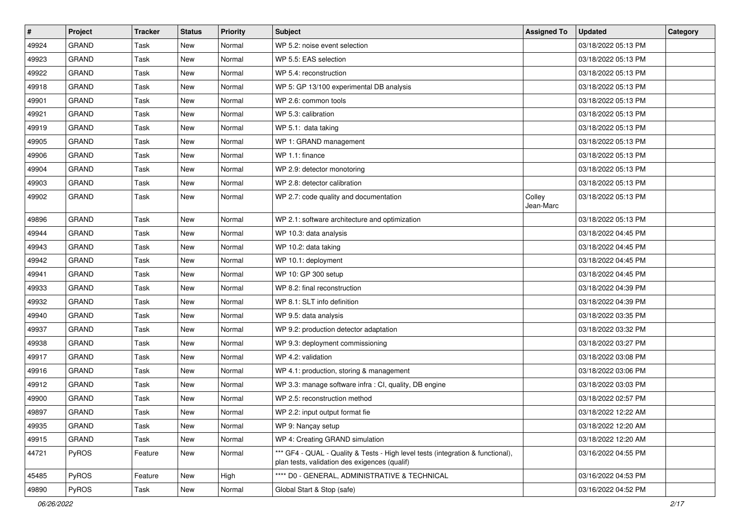| $\vert$ # | Project      | <b>Tracker</b> | <b>Status</b> | Priority | <b>Subject</b>                                                                                                                   | <b>Assigned To</b>  | <b>Updated</b>      | Category |
|-----------|--------------|----------------|---------------|----------|----------------------------------------------------------------------------------------------------------------------------------|---------------------|---------------------|----------|
| 49924     | <b>GRAND</b> | Task           | New           | Normal   | WP 5.2: noise event selection                                                                                                    |                     | 03/18/2022 05:13 PM |          |
| 49923     | <b>GRAND</b> | Task           | <b>New</b>    | Normal   | WP 5.5: EAS selection                                                                                                            |                     | 03/18/2022 05:13 PM |          |
| 49922     | GRAND        | Task           | New           | Normal   | WP 5.4: reconstruction                                                                                                           |                     | 03/18/2022 05:13 PM |          |
| 49918     | <b>GRAND</b> | Task           | New           | Normal   | WP 5: GP 13/100 experimental DB analysis                                                                                         |                     | 03/18/2022 05:13 PM |          |
| 49901     | <b>GRAND</b> | Task           | <b>New</b>    | Normal   | WP 2.6: common tools                                                                                                             |                     | 03/18/2022 05:13 PM |          |
| 49921     | <b>GRAND</b> | Task           | New           | Normal   | WP 5.3: calibration                                                                                                              |                     | 03/18/2022 05:13 PM |          |
| 49919     | <b>GRAND</b> | Task           | <b>New</b>    | Normal   | WP 5.1: data taking                                                                                                              |                     | 03/18/2022 05:13 PM |          |
| 49905     | <b>GRAND</b> | Task           | New           | Normal   | WP 1: GRAND management                                                                                                           |                     | 03/18/2022 05:13 PM |          |
| 49906     | <b>GRAND</b> | Task           | New           | Normal   | WP 1.1: finance                                                                                                                  |                     | 03/18/2022 05:13 PM |          |
| 49904     | <b>GRAND</b> | Task           | New           | Normal   | WP 2.9: detector monotoring                                                                                                      |                     | 03/18/2022 05:13 PM |          |
| 49903     | <b>GRAND</b> | Task           | New           | Normal   | WP 2.8: detector calibration                                                                                                     |                     | 03/18/2022 05:13 PM |          |
| 49902     | <b>GRAND</b> | Task           | New           | Normal   | WP 2.7: code quality and documentation                                                                                           | Colley<br>Jean-Marc | 03/18/2022 05:13 PM |          |
| 49896     | <b>GRAND</b> | Task           | New           | Normal   | WP 2.1: software architecture and optimization                                                                                   |                     | 03/18/2022 05:13 PM |          |
| 49944     | <b>GRAND</b> | Task           | <b>New</b>    | Normal   | WP 10.3: data analysis                                                                                                           |                     | 03/18/2022 04:45 PM |          |
| 49943     | GRAND        | Task           | New           | Normal   | WP 10.2: data taking                                                                                                             |                     | 03/18/2022 04:45 PM |          |
| 49942     | <b>GRAND</b> | Task           | New           | Normal   | WP 10.1: deployment                                                                                                              |                     | 03/18/2022 04:45 PM |          |
| 49941     | <b>GRAND</b> | Task           | <b>New</b>    | Normal   | WP 10: GP 300 setup                                                                                                              |                     | 03/18/2022 04:45 PM |          |
| 49933     | <b>GRAND</b> | Task           | New           | Normal   | WP 8.2: final reconstruction                                                                                                     |                     | 03/18/2022 04:39 PM |          |
| 49932     | <b>GRAND</b> | Task           | <b>New</b>    | Normal   | WP 8.1: SLT info definition                                                                                                      |                     | 03/18/2022 04:39 PM |          |
| 49940     | <b>GRAND</b> | Task           | New           | Normal   | WP 9.5: data analysis                                                                                                            |                     | 03/18/2022 03:35 PM |          |
| 49937     | <b>GRAND</b> | Task           | <b>New</b>    | Normal   | WP 9.2: production detector adaptation                                                                                           |                     | 03/18/2022 03:32 PM |          |
| 49938     | <b>GRAND</b> | Task           | New           | Normal   | WP 9.3: deployment commissioning                                                                                                 |                     | 03/18/2022 03:27 PM |          |
| 49917     | <b>GRAND</b> | Task           | New           | Normal   | WP 4.2: validation                                                                                                               |                     | 03/18/2022 03:08 PM |          |
| 49916     | <b>GRAND</b> | Task           | New           | Normal   | WP 4.1: production, storing & management                                                                                         |                     | 03/18/2022 03:06 PM |          |
| 49912     | <b>GRAND</b> | Task           | New           | Normal   | WP 3.3: manage software infra : CI, quality, DB engine                                                                           |                     | 03/18/2022 03:03 PM |          |
| 49900     | <b>GRAND</b> | Task           | New           | Normal   | WP 2.5: reconstruction method                                                                                                    |                     | 03/18/2022 02:57 PM |          |
| 49897     | <b>GRAND</b> | Task           | <b>New</b>    | Normal   | WP 2.2: input output format fie                                                                                                  |                     | 03/18/2022 12:22 AM |          |
| 49935     | <b>GRAND</b> | Task           | New           | Normal   | WP 9: Nançay setup                                                                                                               |                     | 03/18/2022 12:20 AM |          |
| 49915     | <b>GRAND</b> | Task           | New           | Normal   | WP 4: Creating GRAND simulation                                                                                                  |                     | 03/18/2022 12:20 AM |          |
| 44721     | PyROS        | Feature        | New           | Normal   | *** GF4 - QUAL - Quality & Tests - High level tests (integration & functional),<br>plan tests, validation des exigences (qualif) |                     | 03/16/2022 04:55 PM |          |
| 45485     | PyROS        | Feature        | New           | High     | **** D0 - GENERAL, ADMINISTRATIVE & TECHNICAL                                                                                    |                     | 03/16/2022 04:53 PM |          |
| 49890     | PyROS        | Task           | New           | Normal   | Global Start & Stop (safe)                                                                                                       |                     | 03/16/2022 04:52 PM |          |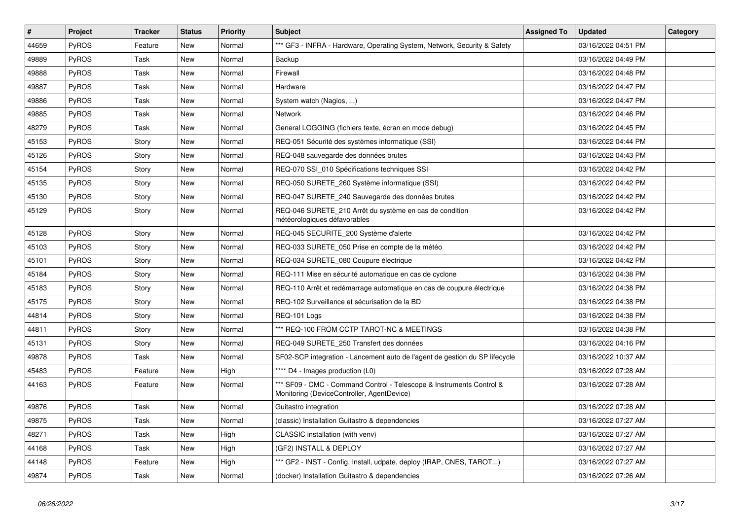| $\sharp$ | Project      | <b>Tracker</b> | <b>Status</b> | Priority | <b>Subject</b>                                                                                                     | <b>Assigned To</b> | <b>Updated</b>      | Category |
|----------|--------------|----------------|---------------|----------|--------------------------------------------------------------------------------------------------------------------|--------------------|---------------------|----------|
| 44659    | <b>PyROS</b> | Feature        | New           | Normal   | *** GF3 - INFRA - Hardware, Operating System, Network, Security & Safety                                           |                    | 03/16/2022 04:51 PM |          |
| 49889    | <b>PyROS</b> | Task           | New           | Normal   | <b>Backup</b>                                                                                                      |                    | 03/16/2022 04:49 PM |          |
| 49888    | PyROS        | Task           | New           | Normal   | Firewall                                                                                                           |                    | 03/16/2022 04:48 PM |          |
| 49887    | <b>PyROS</b> | Task           | New           | Normal   | Hardware                                                                                                           |                    | 03/16/2022 04:47 PM |          |
| 49886    | PyROS        | Task           | New           | Normal   | System watch (Nagios, )                                                                                            |                    | 03/16/2022 04:47 PM |          |
| 49885    | PyROS        | Task           | New           | Normal   | Network                                                                                                            |                    | 03/16/2022 04:46 PM |          |
| 48279    | PyROS        | Task           | New           | Normal   | General LOGGING (fichiers texte, écran en mode debug)                                                              |                    | 03/16/2022 04:45 PM |          |
| 45153    | PyROS        | Story          | New           | Normal   | REQ-051 Sécurité des systèmes informatique (SSI)                                                                   |                    | 03/16/2022 04:44 PM |          |
| 45126    | PyROS        | Story          | <b>New</b>    | Normal   | REQ-048 sauvegarde des données brutes                                                                              |                    | 03/16/2022 04:43 PM |          |
| 45154    | PyROS        | Story          | New           | Normal   | REQ-070 SSI 010 Spécifications techniques SSI                                                                      |                    | 03/16/2022 04:42 PM |          |
| 45135    | PyROS        | Story          | <b>New</b>    | Normal   | REQ-050 SURETE_260 Système informatique (SSI)                                                                      |                    | 03/16/2022 04:42 PM |          |
| 45130    | <b>PyROS</b> | Story          | New           | Normal   | REQ-047 SURETE_240 Sauvegarde des données brutes                                                                   |                    | 03/16/2022 04:42 PM |          |
| 45129    | PyROS        | Story          | <b>New</b>    | Normal   | REQ-046 SURETE_210 Arrêt du système en cas de condition<br>météorologiques défavorables                            |                    | 03/16/2022 04:42 PM |          |
| 45128    | PyROS        | Story          | <b>New</b>    | Normal   | REQ-045 SECURITE_200 Système d'alerte                                                                              |                    | 03/16/2022 04:42 PM |          |
| 45103    | PyROS        | Story          | New           | Normal   | REQ-033 SURETE_050 Prise en compte de la météo                                                                     |                    | 03/16/2022 04:42 PM |          |
| 45101    | PyROS        | Story          | <b>New</b>    | Normal   | REQ-034 SURETE_080 Coupure électrique                                                                              |                    | 03/16/2022 04:42 PM |          |
| 45184    | PyROS        | Story          | <b>New</b>    | Normal   | REQ-111 Mise en sécurité automatique en cas de cyclone                                                             |                    | 03/16/2022 04:38 PM |          |
| 45183    | PyROS        | Story          | New           | Normal   | REQ-110 Arrêt et redémarrage automatique en cas de coupure électrique                                              |                    | 03/16/2022 04:38 PM |          |
| 45175    | PyROS        | Story          | New           | Normal   | REQ-102 Surveillance et sécurisation de la BD                                                                      |                    | 03/16/2022 04:38 PM |          |
| 44814    | PyROS        | Story          | <b>New</b>    | Normal   | REQ-101 Logs                                                                                                       |                    | 03/16/2022 04:38 PM |          |
| 44811    | PyROS        | Story          | <b>New</b>    | Normal   | *** REQ-100 FROM CCTP TAROT-NC & MEETINGS                                                                          |                    | 03/16/2022 04:38 PM |          |
| 45131    | PyROS        | Story          | New           | Normal   | REQ-049 SURETE_250 Transfert des données                                                                           |                    | 03/16/2022 04:16 PM |          |
| 49878    | <b>PyROS</b> | Task           | New           | Normal   | SF02-SCP integration - Lancement auto de l'agent de gestion du SP lifecycle                                        |                    | 03/16/2022 10:37 AM |          |
| 45483    | <b>PyROS</b> | Feature        | New           | High     | **** D4 - Images production (L0)                                                                                   |                    | 03/16/2022 07:28 AM |          |
| 44163    | <b>PyROS</b> | Feature        | New           | Normal   | *** SF09 - CMC - Command Control - Telescope & Instruments Control &<br>Monitoring (DeviceController, AgentDevice) |                    | 03/16/2022 07:28 AM |          |
| 49876    | PyROS        | Task           | New           | Normal   | Guitastro integration                                                                                              |                    | 03/16/2022 07:28 AM |          |
| 49875    | PyROS        | Task           | New           | Normal   | (classic) Installation Guitastro & dependencies                                                                    |                    | 03/16/2022 07:27 AM |          |
| 48271    | PyROS        | Task           | New           | High     | CLASSIC installation (with venv)                                                                                   |                    | 03/16/2022 07:27 AM |          |
| 44168    | PyROS        | Task           | New           | High     | (GF2) INSTALL & DEPLOY                                                                                             |                    | 03/16/2022 07:27 AM |          |
| 44148    | PyROS        | Feature        | <b>New</b>    | High     | *** GF2 - INST - Config, Install, udpate, deploy (IRAP, CNES, TAROT)                                               |                    | 03/16/2022 07:27 AM |          |
| 49874    | PyROS        | Task           | <b>New</b>    | Normal   | (docker) Installation Guitastro & dependencies                                                                     |                    | 03/16/2022 07:26 AM |          |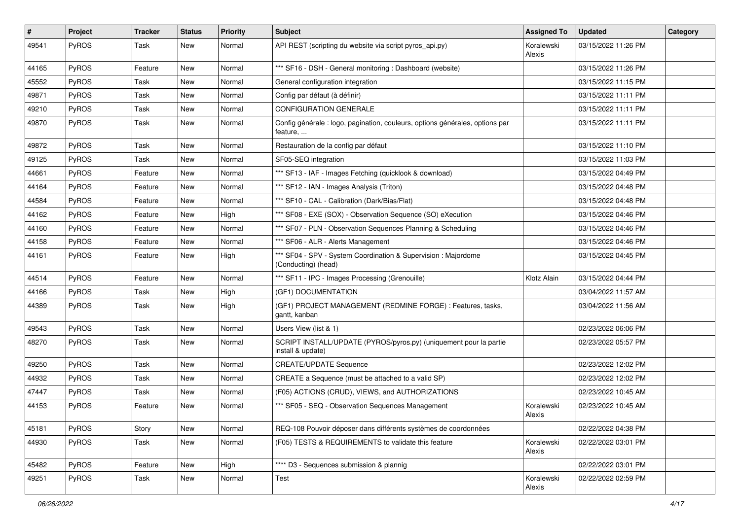| #     | Project      | <b>Tracker</b> | <b>Status</b> | <b>Priority</b> | <b>Subject</b>                                                                           | <b>Assigned To</b>   | <b>Updated</b>      | Category |
|-------|--------------|----------------|---------------|-----------------|------------------------------------------------------------------------------------------|----------------------|---------------------|----------|
| 49541 | PyROS        | Task           | New           | Normal          | API REST (scripting du website via script pyros_api.py)                                  | Koralewski<br>Alexis | 03/15/2022 11:26 PM |          |
| 44165 | PyROS        | Feature        | New           | Normal          | *** SF16 - DSH - General monitoring: Dashboard (website)                                 |                      | 03/15/2022 11:26 PM |          |
| 45552 | PyROS        | Task           | New           | Normal          | General configuration integration                                                        |                      | 03/15/2022 11:15 PM |          |
| 49871 | PyROS        | Task           | <b>New</b>    | Normal          | Config par défaut (à définir)                                                            |                      | 03/15/2022 11:11 PM |          |
| 49210 | PyROS        | Task           | New           | Normal          | <b>CONFIGURATION GENERALE</b>                                                            |                      | 03/15/2022 11:11 PM |          |
| 49870 | PyROS        | Task           | New           | Normal          | Config générale : logo, pagination, couleurs, options générales, options par<br>feature, |                      | 03/15/2022 11:11 PM |          |
| 49872 | PyROS        | Task           | <b>New</b>    | Normal          | Restauration de la config par défaut                                                     |                      | 03/15/2022 11:10 PM |          |
| 49125 | PyROS        | Task           | New           | Normal          | SF05-SEQ integration                                                                     |                      | 03/15/2022 11:03 PM |          |
| 44661 | <b>PyROS</b> | Feature        | New           | Normal          | *** SF13 - IAF - Images Fetching (quicklook & download)                                  |                      | 03/15/2022 04:49 PM |          |
| 44164 | PyROS        | Feature        | New           | Normal          | *** SF12 - IAN - Images Analysis (Triton)                                                |                      | 03/15/2022 04:48 PM |          |
| 44584 | PyROS        | Feature        | New           | Normal          | *** SF10 - CAL - Calibration (Dark/Bias/Flat)                                            |                      | 03/15/2022 04:48 PM |          |
| 44162 | PyROS        | Feature        | New           | High            | *** SF08 - EXE (SOX) - Observation Sequence (SO) eXecution                               |                      | 03/15/2022 04:46 PM |          |
| 44160 | PyROS        | Feature        | New           | Normal          | *** SF07 - PLN - Observation Sequences Planning & Scheduling                             |                      | 03/15/2022 04:46 PM |          |
| 44158 | <b>PyROS</b> | Feature        | New           | Normal          | *** SF06 - ALR - Alerts Management                                                       |                      | 03/15/2022 04:46 PM |          |
| 44161 | PyROS        | Feature        | New           | High            | *** SF04 - SPV - System Coordination & Supervision : Majordome<br>(Conducting) (head)    |                      | 03/15/2022 04:45 PM |          |
| 44514 | PyROS        | Feature        | New           | Normal          | *** SF11 - IPC - Images Processing (Grenouille)                                          | Klotz Alain          | 03/15/2022 04:44 PM |          |
| 44166 | PyROS        | Task           | New           | High            | (GF1) DOCUMENTATION                                                                      |                      | 03/04/2022 11:57 AM |          |
| 44389 | PyROS        | Task           | New           | High            | (GF1) PROJECT MANAGEMENT (REDMINE FORGE) : Features, tasks,<br>gantt, kanban             |                      | 03/04/2022 11:56 AM |          |
| 49543 | PyROS        | Task           | New           | Normal          | Users View (list & 1)                                                                    |                      | 02/23/2022 06:06 PM |          |
| 48270 | PyROS        | Task           | New           | Normal          | SCRIPT INSTALL/UPDATE (PYROS/pyros.py) (uniquement pour la partie<br>install & update)   |                      | 02/23/2022 05:57 PM |          |
| 49250 | PyROS        | Task           | New           | Normal          | <b>CREATE/UPDATE Sequence</b>                                                            |                      | 02/23/2022 12:02 PM |          |
| 44932 | <b>PyROS</b> | Task           | New           | Normal          | CREATE a Sequence (must be attached to a valid SP)                                       |                      | 02/23/2022 12:02 PM |          |
| 47447 | PyROS        | Task           | New           | Normal          | (F05) ACTIONS (CRUD), VIEWS, and AUTHORIZATIONS                                          |                      | 02/23/2022 10:45 AM |          |
| 44153 | PyROS        | Feature        | New           | Normal          | *** SF05 - SEQ - Observation Sequences Management                                        | Koralewski<br>Alexis | 02/23/2022 10:45 AM |          |
| 45181 | PyROS        | Story          | New           | Normal          | REQ-108 Pouvoir déposer dans différents systèmes de coordonnées                          |                      | 02/22/2022 04:38 PM |          |
| 44930 | PyROS        | Task           | New           | Normal          | (F05) TESTS & REQUIREMENTS to validate this feature                                      | Koralewski<br>Alexis | 02/22/2022 03:01 PM |          |
| 45482 | PyROS        | Feature        | New           | High            | **** D3 - Sequences submission & plannig                                                 |                      | 02/22/2022 03:01 PM |          |
| 49251 | PyROS        | Task           | New           | Normal          | Test                                                                                     | Koralewski<br>Alexis | 02/22/2022 02:59 PM |          |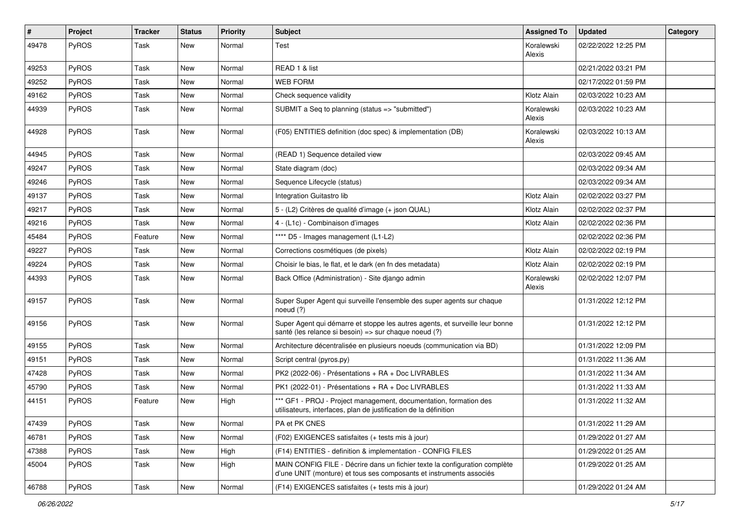| $\vert$ # | Project      | <b>Tracker</b> | <b>Status</b> | <b>Priority</b> | <b>Subject</b>                                                                                                                                    | <b>Assigned To</b>   | <b>Updated</b>      | Category |
|-----------|--------------|----------------|---------------|-----------------|---------------------------------------------------------------------------------------------------------------------------------------------------|----------------------|---------------------|----------|
| 49478     | PyROS        | Task           | New           | Normal          | Test                                                                                                                                              | Koralewski<br>Alexis | 02/22/2022 12:25 PM |          |
| 49253     | PyROS        | Task           | <b>New</b>    | Normal          | READ 1 & list                                                                                                                                     |                      | 02/21/2022 03:21 PM |          |
| 49252     | PyROS        | Task           | New           | Normal          | <b>WEB FORM</b>                                                                                                                                   |                      | 02/17/2022 01:59 PM |          |
| 49162     | PyROS        | Task           | New           | Normal          | Check sequence validity                                                                                                                           | Klotz Alain          | 02/03/2022 10:23 AM |          |
| 44939     | PyROS        | Task           | New           | Normal          | SUBMIT a Seq to planning (status => "submitted")                                                                                                  | Koralewski<br>Alexis | 02/03/2022 10:23 AM |          |
| 44928     | PyROS        | Task           | New           | Normal          | (F05) ENTITIES definition (doc spec) & implementation (DB)                                                                                        | Koralewski<br>Alexis | 02/03/2022 10:13 AM |          |
| 44945     | PyROS        | Task           | <b>New</b>    | Normal          | (READ 1) Sequence detailed view                                                                                                                   |                      | 02/03/2022 09:45 AM |          |
| 49247     | <b>PyROS</b> | Task           | New           | Normal          | State diagram (doc)                                                                                                                               |                      | 02/03/2022 09:34 AM |          |
| 49246     | PyROS        | Task           | New           | Normal          | Sequence Lifecycle (status)                                                                                                                       |                      | 02/03/2022 09:34 AM |          |
| 49137     | PyROS        | Task           | New           | Normal          | Integration Guitastro lib                                                                                                                         | Klotz Alain          | 02/02/2022 03:27 PM |          |
| 49217     | PyROS        | Task           | New           | Normal          | 5 - (L2) Critères de qualité d'image (+ json QUAL)                                                                                                | Klotz Alain          | 02/02/2022 02:37 PM |          |
| 49216     | PyROS        | Task           | <b>New</b>    | Normal          | 4 - (L1c) - Combinaison d'images                                                                                                                  | Klotz Alain          | 02/02/2022 02:36 PM |          |
| 45484     | <b>PyROS</b> | Feature        | New           | Normal          | **** D5 - Images management (L1-L2)                                                                                                               |                      | 02/02/2022 02:36 PM |          |
| 49227     | PyROS        | Task           | New           | Normal          | Corrections cosmétiques (de pixels)                                                                                                               | Klotz Alain          | 02/02/2022 02:19 PM |          |
| 49224     | PyROS        | Task           | New           | Normal          | Choisir le bias, le flat, et le dark (en fn des metadata)                                                                                         | Klotz Alain          | 02/02/2022 02:19 PM |          |
| 44393     | PyROS        | Task           | New           | Normal          | Back Office (Administration) - Site diango admin                                                                                                  | Koralewski<br>Alexis | 02/02/2022 12:07 PM |          |
| 49157     | PyROS        | Task           | New           | Normal          | Super Super Agent qui surveille l'ensemble des super agents sur chaque<br>noeud $(?)$                                                             |                      | 01/31/2022 12:12 PM |          |
| 49156     | PyROS        | Task           | <b>New</b>    | Normal          | Super Agent qui démarre et stoppe les autres agents, et surveille leur bonne<br>santé (les relance si besoin) => sur chaque noeud (?)             |                      | 01/31/2022 12:12 PM |          |
| 49155     | PyROS        | Task           | New           | Normal          | Architecture décentralisée en plusieurs noeuds (communication via BD)                                                                             |                      | 01/31/2022 12:09 PM |          |
| 49151     | PyROS        | Task           | New           | Normal          | Script central (pyros.py)                                                                                                                         |                      | 01/31/2022 11:36 AM |          |
| 47428     | <b>PyROS</b> | Task           | New           | Normal          | PK2 (2022-06) - Présentations + RA + Doc LIVRABLES                                                                                                |                      | 01/31/2022 11:34 AM |          |
| 45790     | PyROS        | Task           | <b>New</b>    | Normal          | PK1 (2022-01) - Présentations + RA + Doc LIVRABLES                                                                                                |                      | 01/31/2022 11:33 AM |          |
| 44151     | PyROS        | Feature        | New           | High            | *** GF1 - PROJ - Project management, documentation, formation des<br>utilisateurs, interfaces, plan de justification de la définition             |                      | 01/31/2022 11:32 AM |          |
| 47439     | PyROS        | Task           | New           | Normal          | PA et PK CNES                                                                                                                                     |                      | 01/31/2022 11:29 AM |          |
| 46781     | PyROS        | Task           | New           | Normal          | (F02) EXIGENCES satisfaites (+ tests mis à jour)                                                                                                  |                      | 01/29/2022 01:27 AM |          |
| 47388     | PyROS        | Task           | New           | High            | (F14) ENTITIES - definition & implementation - CONFIG FILES                                                                                       |                      | 01/29/2022 01:25 AM |          |
| 45004     | PyROS        | Task           | New           | High            | MAIN CONFIG FILE - Décrire dans un fichier texte la configuration complète<br>d'une UNIT (monture) et tous ses composants et instruments associés |                      | 01/29/2022 01:25 AM |          |
| 46788     | PyROS        | Task           | New           | Normal          | (F14) EXIGENCES satisfaites (+ tests mis à jour)                                                                                                  |                      | 01/29/2022 01:24 AM |          |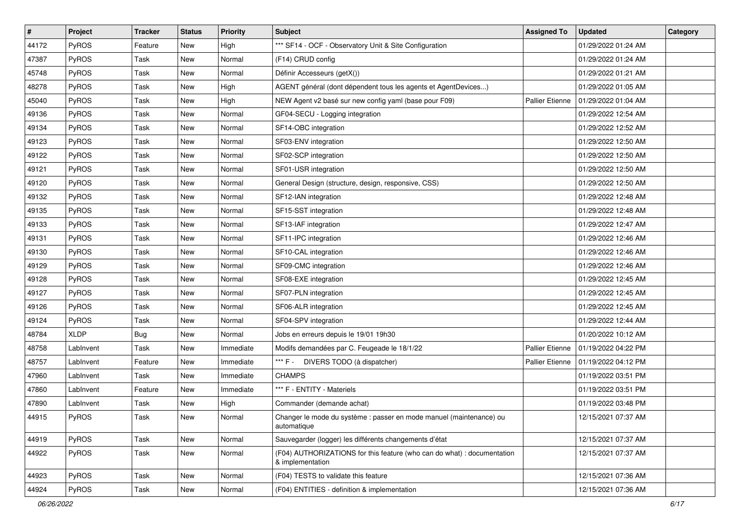| $\pmb{\#}$ | Project     | <b>Tracker</b> | <b>Status</b> | <b>Priority</b> | Subject                                                                                     | <b>Assigned To</b>     | <b>Updated</b>      | Category |
|------------|-------------|----------------|---------------|-----------------|---------------------------------------------------------------------------------------------|------------------------|---------------------|----------|
| 44172      | PyROS       | Feature        | New           | High            | *** SF14 - OCF - Observatory Unit & Site Configuration                                      |                        | 01/29/2022 01:24 AM |          |
| 47387      | PyROS       | Task           | New           | Normal          | (F14) CRUD config                                                                           |                        | 01/29/2022 01:24 AM |          |
| 45748      | PyROS       | Task           | New           | Normal          | Définir Accesseurs (getX())                                                                 |                        | 01/29/2022 01:21 AM |          |
| 48278      | PyROS       | Task           | New           | High            | AGENT général (dont dépendent tous les agents et AgentDevices)                              |                        | 01/29/2022 01:05 AM |          |
| 45040      | PyROS       | Task           | New           | High            | NEW Agent v2 basé sur new config yaml (base pour F09)                                       | <b>Pallier Etienne</b> | 01/29/2022 01:04 AM |          |
| 49136      | PyROS       | Task           | New           | Normal          | GF04-SECU - Logging integration                                                             |                        | 01/29/2022 12:54 AM |          |
| 49134      | PyROS       | Task           | New           | Normal          | SF14-OBC integration                                                                        |                        | 01/29/2022 12:52 AM |          |
| 49123      | PyROS       | Task           | New           | Normal          | SF03-ENV integration                                                                        |                        | 01/29/2022 12:50 AM |          |
| 49122      | PyROS       | Task           | New           | Normal          | SF02-SCP integration                                                                        |                        | 01/29/2022 12:50 AM |          |
| 49121      | PyROS       | Task           | New           | Normal          | SF01-USR integration                                                                        |                        | 01/29/2022 12:50 AM |          |
| 49120      | PyROS       | Task           | New           | Normal          | General Design (structure, design, responsive, CSS)                                         |                        | 01/29/2022 12:50 AM |          |
| 49132      | PyROS       | Task           | New           | Normal          | SF12-IAN integration                                                                        |                        | 01/29/2022 12:48 AM |          |
| 49135      | PyROS       | Task           | New           | Normal          | SF15-SST integration                                                                        |                        | 01/29/2022 12:48 AM |          |
| 49133      | PyROS       | Task           | New           | Normal          | SF13-IAF integration                                                                        |                        | 01/29/2022 12:47 AM |          |
| 49131      | PyROS       | Task           | New           | Normal          | SF11-IPC integration                                                                        |                        | 01/29/2022 12:46 AM |          |
| 49130      | PyROS       | Task           | New           | Normal          | SF10-CAL integration                                                                        |                        | 01/29/2022 12:46 AM |          |
| 49129      | PyROS       | Task           | New           | Normal          | SF09-CMC integration                                                                        |                        | 01/29/2022 12:46 AM |          |
| 49128      | PyROS       | Task           | New           | Normal          | SF08-EXE integration                                                                        |                        | 01/29/2022 12:45 AM |          |
| 49127      | PyROS       | Task           | New           | Normal          | SF07-PLN integration                                                                        |                        | 01/29/2022 12:45 AM |          |
| 49126      | PyROS       | Task           | New           | Normal          | SF06-ALR integration                                                                        |                        | 01/29/2022 12:45 AM |          |
| 49124      | PyROS       | Task           | New           | Normal          | SF04-SPV integration                                                                        |                        | 01/29/2022 12:44 AM |          |
| 48784      | <b>XLDP</b> | <b>Bug</b>     | New           | Normal          | Jobs en erreurs depuis le 19/01 19h30                                                       |                        | 01/20/2022 10:12 AM |          |
| 48758      | LabInvent   | Task           | New           | Immediate       | Modifs demandées par C. Feugeade le 18/1/22                                                 | Pallier Etienne        | 01/19/2022 04:22 PM |          |
| 48757      | LabInvent   | Feature        | New           | Immediate       | *** F - 1<br>DIVERS TODO (à dispatcher)                                                     | Pallier Etienne        | 01/19/2022 04:12 PM |          |
| 47960      | LabInvent   | Task           | New           | Immediate       | <b>CHAMPS</b>                                                                               |                        | 01/19/2022 03:51 PM |          |
| 47860      | LabInvent   | Feature        | New           | Immediate       | *** F - ENTITY - Materiels                                                                  |                        | 01/19/2022 03:51 PM |          |
| 47890      | LabInvent   | Task           | New           | High            | Commander (demande achat)                                                                   |                        | 01/19/2022 03:48 PM |          |
| 44915      | PyROS       | Task           | New           | Normal          | Changer le mode du système : passer en mode manuel (maintenance) ou<br>automatique          |                        | 12/15/2021 07:37 AM |          |
| 44919      | PyROS       | Task           | New           | Normal          | Sauvegarder (logger) les différents changements d'état                                      |                        | 12/15/2021 07:37 AM |          |
| 44922      | PyROS       | Task           | New           | Normal          | (F04) AUTHORIZATIONS for this feature (who can do what) : documentation<br>& implementation |                        | 12/15/2021 07:37 AM |          |
| 44923      | PyROS       | Task           | New           | Normal          | (F04) TESTS to validate this feature                                                        |                        | 12/15/2021 07:36 AM |          |
| 44924      | PyROS       | Task           | New           | Normal          | (F04) ENTITIES - definition & implementation                                                |                        | 12/15/2021 07:36 AM |          |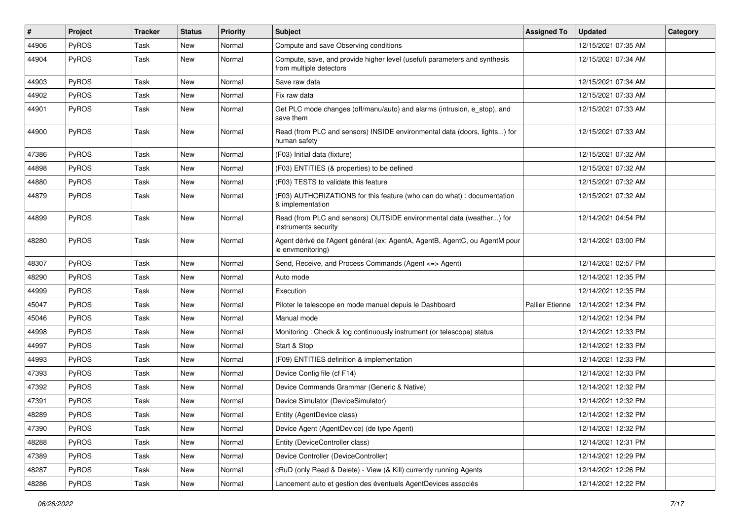| #     | Project      | <b>Tracker</b> | <b>Status</b> | <b>Priority</b> | <b>Subject</b>                                                                                       | <b>Assigned To</b>     | <b>Updated</b>      | Category |
|-------|--------------|----------------|---------------|-----------------|------------------------------------------------------------------------------------------------------|------------------------|---------------------|----------|
| 44906 | PyROS        | Task           | New           | Normal          | Compute and save Observing conditions                                                                |                        | 12/15/2021 07:35 AM |          |
| 44904 | PyROS        | Task           | <b>New</b>    | Normal          | Compute, save, and provide higher level (useful) parameters and synthesis<br>from multiple detectors |                        | 12/15/2021 07:34 AM |          |
| 44903 | PyROS        | Task           | New           | Normal          | Save raw data                                                                                        |                        | 12/15/2021 07:34 AM |          |
| 44902 | PyROS        | Task           | New           | Normal          | Fix raw data                                                                                         |                        | 12/15/2021 07:33 AM |          |
| 44901 | PyROS        | Task           | New           | Normal          | Get PLC mode changes (off/manu/auto) and alarms (intrusion, e_stop), and<br>save them                |                        | 12/15/2021 07:33 AM |          |
| 44900 | PyROS        | Task           | New           | Normal          | Read (from PLC and sensors) INSIDE environmental data (doors, lights) for<br>human safety            |                        | 12/15/2021 07:33 AM |          |
| 47386 | PyROS        | Task           | New           | Normal          | (F03) Initial data (fixture)                                                                         |                        | 12/15/2021 07:32 AM |          |
| 44898 | PyROS        | Task           | New           | Normal          | (F03) ENTITIES (& properties) to be defined                                                          |                        | 12/15/2021 07:32 AM |          |
| 44880 | PyROS        | Task           | New           | Normal          | (F03) TESTS to validate this feature                                                                 |                        | 12/15/2021 07:32 AM |          |
| 44879 | PyROS        | Task           | New           | Normal          | (F03) AUTHORIZATIONS for this feature (who can do what) : documentation<br>& implementation          |                        | 12/15/2021 07:32 AM |          |
| 44899 | PyROS        | Task           | New           | Normal          | Read (from PLC and sensors) OUTSIDE environmental data (weather) for<br>instruments security         |                        | 12/14/2021 04:54 PM |          |
| 48280 | PyROS        | Task           | New           | Normal          | Agent dérivé de l'Agent général (ex: AgentA, AgentB, AgentC, ou AgentM pour<br>le envmonitoring)     |                        | 12/14/2021 03:00 PM |          |
| 48307 | PyROS        | Task           | New           | Normal          | Send, Receive, and Process Commands (Agent <= > Agent)                                               |                        | 12/14/2021 02:57 PM |          |
| 48290 | PyROS        | Task           | New           | Normal          | Auto mode                                                                                            |                        | 12/14/2021 12:35 PM |          |
| 44999 | PyROS        | Task           | New           | Normal          | Execution                                                                                            |                        | 12/14/2021 12:35 PM |          |
| 45047 | <b>PyROS</b> | Task           | New           | Normal          | Piloter le telescope en mode manuel depuis le Dashboard                                              | <b>Pallier Etienne</b> | 12/14/2021 12:34 PM |          |
| 45046 | PyROS        | Task           | <b>New</b>    | Normal          | Manual mode                                                                                          |                        | 12/14/2021 12:34 PM |          |
| 44998 | PyROS        | Task           | New           | Normal          | Monitoring: Check & log continuously instrument (or telescope) status                                |                        | 12/14/2021 12:33 PM |          |
| 44997 | PyROS        | Task           | New           | Normal          | Start & Stop                                                                                         |                        | 12/14/2021 12:33 PM |          |
| 44993 | PyROS        | Task           | <b>New</b>    | Normal          | (F09) ENTITIES definition & implementation                                                           |                        | 12/14/2021 12:33 PM |          |
| 47393 | <b>PyROS</b> | Task           | New           | Normal          | Device Config file (cf F14)                                                                          |                        | 12/14/2021 12:33 PM |          |
| 47392 | PyROS        | Task           | New           | Normal          | Device Commands Grammar (Generic & Native)                                                           |                        | 12/14/2021 12:32 PM |          |
| 47391 | PyROS        | Task           | New           | Normal          | Device Simulator (DeviceSimulator)                                                                   |                        | 12/14/2021 12:32 PM |          |
| 48289 | <b>PyROS</b> | Task           | New           | Normal          | Entity (AgentDevice class)                                                                           |                        | 12/14/2021 12:32 PM |          |
| 47390 | PyROS        | Task           | New           | Normal          | Device Agent (AgentDevice) (de type Agent)                                                           |                        | 12/14/2021 12:32 PM |          |
| 48288 | PyROS        | Task           | New           | Normal          | Entity (DeviceController class)                                                                      |                        | 12/14/2021 12:31 PM |          |
| 47389 | PyROS        | Task           | New           | Normal          | Device Controller (DeviceController)                                                                 |                        | 12/14/2021 12:29 PM |          |
| 48287 | PyROS        | Task           | New           | Normal          | cRuD (only Read & Delete) - View (& Kill) currently running Agents                                   |                        | 12/14/2021 12:26 PM |          |
| 48286 | PyROS        | Task           | New           | Normal          | Lancement auto et gestion des éventuels AgentDevices associés                                        |                        | 12/14/2021 12:22 PM |          |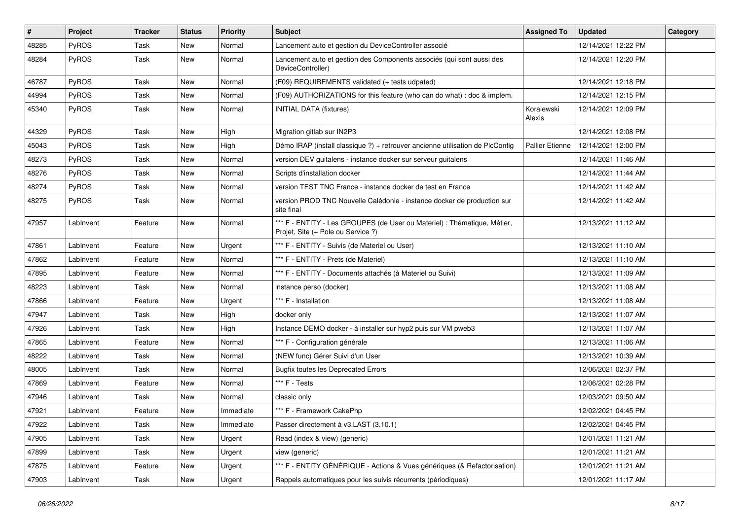| $\sharp$ | Project   | <b>Tracker</b> | <b>Status</b> | <b>Priority</b> | <b>Subject</b>                                                                                                 | <b>Assigned To</b>     | <b>Updated</b>      | Category |
|----------|-----------|----------------|---------------|-----------------|----------------------------------------------------------------------------------------------------------------|------------------------|---------------------|----------|
| 48285    | PyROS     | Task           | New           | Normal          | Lancement auto et gestion du DeviceController associé                                                          |                        | 12/14/2021 12:22 PM |          |
| 48284    | PyROS     | Task           | New           | Normal          | Lancement auto et gestion des Components associés (qui sont aussi des<br>DeviceController)                     |                        | 12/14/2021 12:20 PM |          |
| 46787    | PyROS     | Task           | New           | Normal          | (F09) REQUIREMENTS validated (+ tests udpated)                                                                 |                        | 12/14/2021 12:18 PM |          |
| 44994    | PyROS     | Task           | New           | Normal          | (F09) AUTHORIZATIONS for this feature (who can do what) : doc & implem.                                        |                        | 12/14/2021 12:15 PM |          |
| 45340    | PyROS     | Task           | New           | Normal          | <b>INITIAL DATA (fixtures)</b>                                                                                 | Koralewski<br>Alexis   | 12/14/2021 12:09 PM |          |
| 44329    | PyROS     | Task           | New           | High            | Migration gitlab sur IN2P3                                                                                     |                        | 12/14/2021 12:08 PM |          |
| 45043    | PyROS     | Task           | New           | High            | Démo IRAP (install classique ?) + retrouver ancienne utilisation de PlcConfig                                  | <b>Pallier Etienne</b> | 12/14/2021 12:00 PM |          |
| 48273    | PyROS     | Task           | New           | Normal          | version DEV guitalens - instance docker sur serveur guitalens                                                  |                        | 12/14/2021 11:46 AM |          |
| 48276    | PyROS     | Task           | New           | Normal          | Scripts d'installation docker                                                                                  |                        | 12/14/2021 11:44 AM |          |
| 48274    | PyROS     | Task           | New           | Normal          | version TEST TNC France - instance docker de test en France                                                    |                        | 12/14/2021 11:42 AM |          |
| 48275    | PyROS     | Task           | New           | Normal          | version PROD TNC Nouvelle Calédonie - instance docker de production sur<br>site final                          |                        | 12/14/2021 11:42 AM |          |
| 47957    | LabInvent | Feature        | New           | Normal          | *** F - ENTITY - Les GROUPES (de User ou Materiel) : Thématique, Métier,<br>Projet, Site (+ Pole ou Service ?) |                        | 12/13/2021 11:12 AM |          |
| 47861    | LabInvent | Feature        | New           | Urgent          | *** F - ENTITY - Suivis (de Materiel ou User)                                                                  |                        | 12/13/2021 11:10 AM |          |
| 47862    | LabInvent | Feature        | <b>New</b>    | Normal          | *** F - ENTITY - Prets (de Materiel)                                                                           |                        | 12/13/2021 11:10 AM |          |
| 47895    | LabInvent | Feature        | New           | Normal          | *** F - ENTITY - Documents attachés (à Materiel ou Suivi)                                                      |                        | 12/13/2021 11:09 AM |          |
| 48223    | LabInvent | Task           | New           | Normal          | instance perso (docker)                                                                                        |                        | 12/13/2021 11:08 AM |          |
| 47866    | LabInvent | Feature        | New           | Urgent          | *** F - Installation                                                                                           |                        | 12/13/2021 11:08 AM |          |
| 47947    | LabInvent | Task           | New           | High            | docker only                                                                                                    |                        | 12/13/2021 11:07 AM |          |
| 47926    | LabInvent | Task           | <b>New</b>    | High            | Instance DEMO docker - à installer sur hyp2 puis sur VM pweb3                                                  |                        | 12/13/2021 11:07 AM |          |
| 47865    | LabInvent | Feature        | New           | Normal          | *** F - Configuration générale                                                                                 |                        | 12/13/2021 11:06 AM |          |
| 48222    | LabInvent | Task           | New           | Normal          | (NEW func) Gérer Suivi d'un User                                                                               |                        | 12/13/2021 10:39 AM |          |
| 48005    | LabInvent | Task           | New           | Normal          | <b>Bugfix toutes les Deprecated Errors</b>                                                                     |                        | 12/06/2021 02:37 PM |          |
| 47869    | LabInvent | Feature        | New           | Normal          | *** F - Tests                                                                                                  |                        | 12/06/2021 02:28 PM |          |
| 47946    | LabInvent | Task           | New           | Normal          | classic only                                                                                                   |                        | 12/03/2021 09:50 AM |          |
| 47921    | LabInvent | Feature        | New           | Immediate       | *** F - Framework CakePhp                                                                                      |                        | 12/02/2021 04:45 PM |          |
| 47922    | LabInvent | Task           | New           | Immediate       | Passer directement à v3.LAST (3.10.1)                                                                          |                        | 12/02/2021 04:45 PM |          |
| 47905    | LabInvent | Task           | New           | Urgent          | Read (index & view) (generic)                                                                                  |                        | 12/01/2021 11:21 AM |          |
| 47899    | LabInvent | Task           | New           | Urgent          | view (generic)                                                                                                 |                        | 12/01/2021 11:21 AM |          |
| 47875    | LabInvent | Feature        | New           | Urgent          | *** F - ENTITY GÉNÉRIQUE - Actions & Vues génériques (& Refactorisation)                                       |                        | 12/01/2021 11:21 AM |          |
| 47903    | LabInvent | Task           | New           | Urgent          | Rappels automatiques pour les suivis récurrents (périodiques)                                                  |                        | 12/01/2021 11:17 AM |          |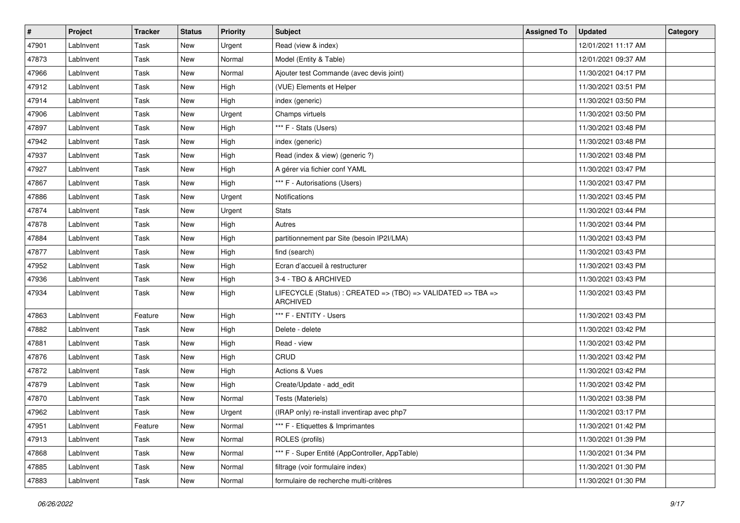| #     | Project   | <b>Tracker</b> | <b>Status</b> | <b>Priority</b> | <b>Subject</b>                                                                  | <b>Assigned To</b> | <b>Updated</b>      | Category |
|-------|-----------|----------------|---------------|-----------------|---------------------------------------------------------------------------------|--------------------|---------------------|----------|
| 47901 | LabInvent | Task           | New           | Urgent          | Read (view & index)                                                             |                    | 12/01/2021 11:17 AM |          |
| 47873 | LabInvent | Task           | New           | Normal          | Model (Entity & Table)                                                          |                    | 12/01/2021 09:37 AM |          |
| 47966 | LabInvent | Task           | New           | Normal          | Ajouter test Commande (avec devis joint)                                        |                    | 11/30/2021 04:17 PM |          |
| 47912 | LabInvent | Task           | <b>New</b>    | High            | (VUE) Elements et Helper                                                        |                    | 11/30/2021 03:51 PM |          |
| 47914 | LabInvent | Task           | New           | High            | index (generic)                                                                 |                    | 11/30/2021 03:50 PM |          |
| 47906 | LabInvent | Task           | New           | Urgent          | Champs virtuels                                                                 |                    | 11/30/2021 03:50 PM |          |
| 47897 | LabInvent | Task           | <b>New</b>    | High            | *** F - Stats (Users)                                                           |                    | 11/30/2021 03:48 PM |          |
| 47942 | LabInvent | Task           | New           | High            | index (generic)                                                                 |                    | 11/30/2021 03:48 PM |          |
| 47937 | LabInvent | Task           | New           | High            | Read (index & view) (generic ?)                                                 |                    | 11/30/2021 03:48 PM |          |
| 47927 | LabInvent | Task           | New           | High            | A gérer via fichier conf YAML                                                   |                    | 11/30/2021 03:47 PM |          |
| 47867 | LabInvent | Task           | <b>New</b>    | High            | *** F - Autorisations (Users)                                                   |                    | 11/30/2021 03:47 PM |          |
| 47886 | LabInvent | Task           | New           | Urgent          | Notifications                                                                   |                    | 11/30/2021 03:45 PM |          |
| 47874 | LabInvent | Task           | New           | Urgent          | <b>Stats</b>                                                                    |                    | 11/30/2021 03:44 PM |          |
| 47878 | LabInvent | Task           | <b>New</b>    | High            | Autres                                                                          |                    | 11/30/2021 03:44 PM |          |
| 47884 | LabInvent | Task           | New           | High            | partitionnement par Site (besoin IP2I/LMA)                                      |                    | 11/30/2021 03:43 PM |          |
| 47877 | LabInvent | Task           | New           | High            | find (search)                                                                   |                    | 11/30/2021 03:43 PM |          |
| 47952 | LabInvent | Task           | <b>New</b>    | High            | Ecran d'accueil à restructurer                                                  |                    | 11/30/2021 03:43 PM |          |
| 47936 | LabInvent | Task           | New           | High            | 3-4 - TBO & ARCHIVED                                                            |                    | 11/30/2021 03:43 PM |          |
| 47934 | LabInvent | Task           | New           | High            | LIFECYCLE (Status) : CREATED => (TBO) => VALIDATED => TBA =><br><b>ARCHIVED</b> |                    | 11/30/2021 03:43 PM |          |
| 47863 | LabInvent | Feature        | New           | High            | *** F - ENTITY - Users                                                          |                    | 11/30/2021 03:43 PM |          |
| 47882 | LabInvent | Task           | <b>New</b>    | High            | Delete - delete                                                                 |                    | 11/30/2021 03:42 PM |          |
| 47881 | LabInvent | Task           | New           | High            | Read - view                                                                     |                    | 11/30/2021 03:42 PM |          |
| 47876 | LabInvent | Task           | New           | High            | CRUD                                                                            |                    | 11/30/2021 03:42 PM |          |
| 47872 | LabInvent | Task           | <b>New</b>    | High            | <b>Actions &amp; Vues</b>                                                       |                    | 11/30/2021 03:42 PM |          |
| 47879 | LabInvent | Task           | New           | High            | Create/Update - add_edit                                                        |                    | 11/30/2021 03:42 PM |          |
| 47870 | LabInvent | Task           | New           | Normal          | Tests (Materiels)                                                               |                    | 11/30/2021 03:38 PM |          |
| 47962 | LabInvent | Task           | <b>New</b>    | Urgent          | (IRAP only) re-install inventirap avec php7                                     |                    | 11/30/2021 03:17 PM |          |
| 47951 | LabInvent | Feature        | New           | Normal          | *** F - Etiquettes & Imprimantes                                                |                    | 11/30/2021 01:42 PM |          |
| 47913 | LabInvent | Task           | New           | Normal          | ROLES (profils)                                                                 |                    | 11/30/2021 01:39 PM |          |
| 47868 | LabInvent | Task           | New           | Normal          | *** F - Super Entité (AppController, AppTable)                                  |                    | 11/30/2021 01:34 PM |          |
| 47885 | LabInvent | Task           | New           | Normal          | filtrage (voir formulaire index)                                                |                    | 11/30/2021 01:30 PM |          |
| 47883 | LabInvent | Task           | New           | Normal          | formulaire de recherche multi-critères                                          |                    | 11/30/2021 01:30 PM |          |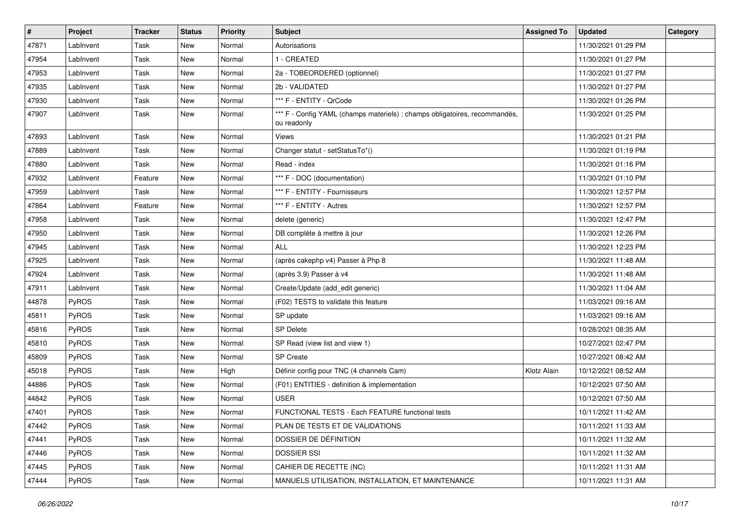| #     | Project   | <b>Tracker</b> | <b>Status</b> | <b>Priority</b> | <b>Subject</b>                                                                            | <b>Assigned To</b> | <b>Updated</b>      | Category |
|-------|-----------|----------------|---------------|-----------------|-------------------------------------------------------------------------------------------|--------------------|---------------------|----------|
| 47871 | LabInvent | Task           | <b>New</b>    | Normal          | Autorisations                                                                             |                    | 11/30/2021 01:29 PM |          |
| 47954 | LabInvent | Task           | New           | Normal          | 1 - CREATED                                                                               |                    | 11/30/2021 01:27 PM |          |
| 47953 | LabInvent | Task           | New           | Normal          | 2a - TOBEORDERED (optionnel)                                                              |                    | 11/30/2021 01:27 PM |          |
| 47935 | LabInvent | Task           | New           | Normal          | 2b - VALIDATED                                                                            |                    | 11/30/2021 01:27 PM |          |
| 47930 | LabInvent | Task           | New           | Normal          | *** F - ENTITY - QrCode                                                                   |                    | 11/30/2021 01:26 PM |          |
| 47907 | LabInvent | Task           | New           | Normal          | *** F - Config YAML (champs materiels) : champs obligatoires, recommandés,<br>ou readonly |                    | 11/30/2021 01:25 PM |          |
| 47893 | LabInvent | Task           | New           | Normal          | Views                                                                                     |                    | 11/30/2021 01:21 PM |          |
| 47889 | LabInvent | Task           | New           | Normal          | Changer statut - setStatusTo*()                                                           |                    | 11/30/2021 01:19 PM |          |
| 47880 | LabInvent | Task           | New           | Normal          | Read - index                                                                              |                    | 11/30/2021 01:16 PM |          |
| 47932 | LabInvent | Feature        | New           | Normal          | *** F - DOC (documentation)                                                               |                    | 11/30/2021 01:10 PM |          |
| 47959 | LabInvent | Task           | New           | Normal          | *** F - ENTITY - Fournisseurs                                                             |                    | 11/30/2021 12:57 PM |          |
| 47864 | LabInvent | Feature        | New           | Normal          | *** F - ENTITY - Autres                                                                   |                    | 11/30/2021 12:57 PM |          |
| 47958 | LabInvent | Task           | New           | Normal          | delete (generic)                                                                          |                    | 11/30/2021 12:47 PM |          |
| 47950 | LabInvent | Task           | <b>New</b>    | Normal          | DB complète à mettre à jour                                                               |                    | 11/30/2021 12:26 PM |          |
| 47945 | LabInvent | Task           | New           | Normal          | <b>ALL</b>                                                                                |                    | 11/30/2021 12:23 PM |          |
| 47925 | LabInvent | Task           | New           | Normal          | (après cakephp v4) Passer à Php 8                                                         |                    | 11/30/2021 11:48 AM |          |
| 47924 | LabInvent | Task           | New           | Normal          | (après 3.9) Passer à v4                                                                   |                    | 11/30/2021 11:48 AM |          |
| 47911 | LabInvent | Task           | New           | Normal          | Create/Update (add_edit generic)                                                          |                    | 11/30/2021 11:04 AM |          |
| 44878 | PyROS     | Task           | New           | Normal          | (F02) TESTS to validate this feature                                                      |                    | 11/03/2021 09:16 AM |          |
| 45811 | PyROS     | Task           | New           | Normal          | SP update                                                                                 |                    | 11/03/2021 09:16 AM |          |
| 45816 | PyROS     | Task           | New           | Normal          | <b>SP Delete</b>                                                                          |                    | 10/28/2021 08:35 AM |          |
| 45810 | PyROS     | Task           | New           | Normal          | SP Read (view list and view 1)                                                            |                    | 10/27/2021 02:47 PM |          |
| 45809 | PyROS     | Task           | New           | Normal          | <b>SP Create</b>                                                                          |                    | 10/27/2021 08:42 AM |          |
| 45018 | PyROS     | Task           | <b>New</b>    | High            | Définir config pour TNC (4 channels Cam)                                                  | Klotz Alain        | 10/12/2021 08:52 AM |          |
| 44886 | PyROS     | Task           | New           | Normal          | (F01) ENTITIES - definition & implementation                                              |                    | 10/12/2021 07:50 AM |          |
| 44842 | PyROS     | Task           | New           | Normal          | USER                                                                                      |                    | 10/12/2021 07:50 AM |          |
| 47401 | PyROS     | Task           | <b>New</b>    | Normal          | FUNCTIONAL TESTS - Each FEATURE functional tests                                          |                    | 10/11/2021 11:42 AM |          |
| 47442 | PyROS     | Task           | New           | Normal          | PLAN DE TESTS ET DE VALIDATIONS                                                           |                    | 10/11/2021 11:33 AM |          |
| 47441 | PyROS     | Task           | New           | Normal          | DOSSIER DE DÉFINITION                                                                     |                    | 10/11/2021 11:32 AM |          |
| 47446 | PyROS     | Task           | New           | Normal          | <b>DOSSIER SSI</b>                                                                        |                    | 10/11/2021 11:32 AM |          |
| 47445 | PyROS     | Task           | New           | Normal          | CAHIER DE RECETTE (NC)                                                                    |                    | 10/11/2021 11:31 AM |          |
| 47444 | PyROS     | Task           | New           | Normal          | MANUELS UTILISATION, INSTALLATION, ET MAINTENANCE                                         |                    | 10/11/2021 11:31 AM |          |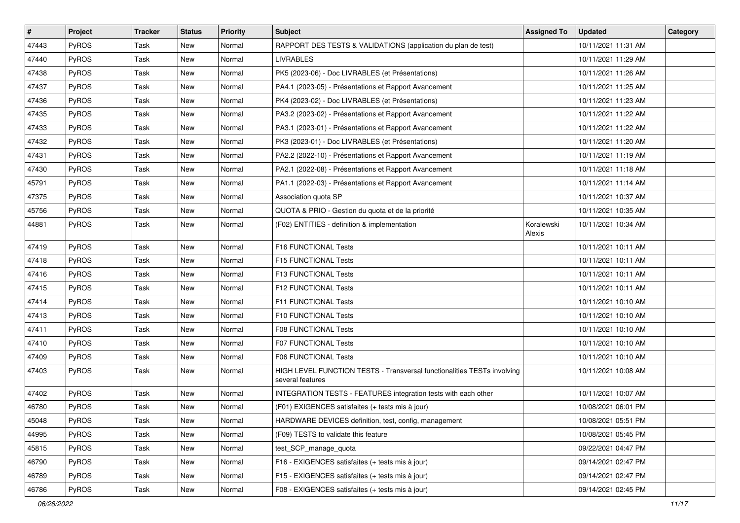| $\vert$ # | Project      | <b>Tracker</b> | <b>Status</b> | <b>Priority</b> | <b>Subject</b>                                                                              | <b>Assigned To</b>   | <b>Updated</b>      | Category |
|-----------|--------------|----------------|---------------|-----------------|---------------------------------------------------------------------------------------------|----------------------|---------------------|----------|
| 47443     | PyROS        | Task           | New           | Normal          | RAPPORT DES TESTS & VALIDATIONS (application du plan de test)                               |                      | 10/11/2021 11:31 AM |          |
| 47440     | PyROS        | Task           | New           | Normal          | <b>LIVRABLES</b>                                                                            |                      | 10/11/2021 11:29 AM |          |
| 47438     | PyROS        | Task           | New           | Normal          | PK5 (2023-06) - Doc LIVRABLES (et Présentations)                                            |                      | 10/11/2021 11:26 AM |          |
| 47437     | PyROS        | Task           | New           | Normal          | PA4.1 (2023-05) - Présentations et Rapport Avancement                                       |                      | 10/11/2021 11:25 AM |          |
| 47436     | PyROS        | Task           | New           | Normal          | PK4 (2023-02) - Doc LIVRABLES (et Présentations)                                            |                      | 10/11/2021 11:23 AM |          |
| 47435     | PyROS        | Task           | New           | Normal          | PA3.2 (2023-02) - Présentations et Rapport Avancement                                       |                      | 10/11/2021 11:22 AM |          |
| 47433     | PyROS        | Task           | New           | Normal          | PA3.1 (2023-01) - Présentations et Rapport Avancement                                       |                      | 10/11/2021 11:22 AM |          |
| 47432     | PyROS        | Task           | New           | Normal          | PK3 (2023-01) - Doc LIVRABLES (et Présentations)                                            |                      | 10/11/2021 11:20 AM |          |
| 47431     | PyROS        | Task           | New           | Normal          | PA2.2 (2022-10) - Présentations et Rapport Avancement                                       |                      | 10/11/2021 11:19 AM |          |
| 47430     | PyROS        | Task           | New           | Normal          | PA2.1 (2022-08) - Présentations et Rapport Avancement                                       |                      | 10/11/2021 11:18 AM |          |
| 45791     | PyROS        | Task           | New           | Normal          | PA1.1 (2022-03) - Présentations et Rapport Avancement                                       |                      | 10/11/2021 11:14 AM |          |
| 47375     | PyROS        | Task           | New           | Normal          | Association quota SP                                                                        |                      | 10/11/2021 10:37 AM |          |
| 45756     | PyROS        | Task           | New           | Normal          | QUOTA & PRIO - Gestion du quota et de la priorité                                           |                      | 10/11/2021 10:35 AM |          |
| 44881     | PyROS        | Task           | New           | Normal          | (F02) ENTITIES - definition & implementation                                                | Koralewski<br>Alexis | 10/11/2021 10:34 AM |          |
| 47419     | PyROS        | Task           | New           | Normal          | F16 FUNCTIONAL Tests                                                                        |                      | 10/11/2021 10:11 AM |          |
| 47418     | PyROS        | Task           | New           | Normal          | F15 FUNCTIONAL Tests                                                                        |                      | 10/11/2021 10:11 AM |          |
| 47416     | <b>PyROS</b> | Task           | New           | Normal          | F13 FUNCTIONAL Tests                                                                        |                      | 10/11/2021 10:11 AM |          |
| 47415     | <b>PyROS</b> | Task           | New           | Normal          | F12 FUNCTIONAL Tests                                                                        |                      | 10/11/2021 10:11 AM |          |
| 47414     | PyROS        | Task           | New           | Normal          | F11 FUNCTIONAL Tests                                                                        |                      | 10/11/2021 10:10 AM |          |
| 47413     | PyROS        | Task           | New           | Normal          | F10 FUNCTIONAL Tests                                                                        |                      | 10/11/2021 10:10 AM |          |
| 47411     | PyROS        | Task           | New           | Normal          | <b>F08 FUNCTIONAL Tests</b>                                                                 |                      | 10/11/2021 10:10 AM |          |
| 47410     | PyROS        | Task           | New           | Normal          | F07 FUNCTIONAL Tests                                                                        |                      | 10/11/2021 10:10 AM |          |
| 47409     | PyROS        | Task           | New           | Normal          | <b>F06 FUNCTIONAL Tests</b>                                                                 |                      | 10/11/2021 10:10 AM |          |
| 47403     | PyROS        | Task           | New           | Normal          | HIGH LEVEL FUNCTION TESTS - Transversal functionalities TESTs involving<br>several features |                      | 10/11/2021 10:08 AM |          |
| 47402     | PyROS        | Task           | New           | Normal          | INTEGRATION TESTS - FEATURES integration tests with each other                              |                      | 10/11/2021 10:07 AM |          |
| 46780     | PyROS        | Task           | New           | Normal          | (F01) EXIGENCES satisfaites (+ tests mis à jour)                                            |                      | 10/08/2021 06:01 PM |          |
| 45048     | PyROS        | Task           | New           | Normal          | HARDWARE DEVICES definition, test, config, management                                       |                      | 10/08/2021 05:51 PM |          |
| 44995     | PyROS        | Task           | New           | Normal          | (F09) TESTS to validate this feature                                                        |                      | 10/08/2021 05:45 PM |          |
| 45815     | PyROS        | Task           | New           | Normal          | test SCP manage quota                                                                       |                      | 09/22/2021 04:47 PM |          |
| 46790     | PyROS        | Task           | New           | Normal          | F16 - EXIGENCES satisfaites (+ tests mis à jour)                                            |                      | 09/14/2021 02:47 PM |          |
| 46789     | PyROS        | Task           | New           | Normal          | F15 - EXIGENCES satisfaites (+ tests mis à jour)                                            |                      | 09/14/2021 02:47 PM |          |
| 46786     | PyROS        | Task           | New           | Normal          | F08 - EXIGENCES satisfaites (+ tests mis à jour)                                            |                      | 09/14/2021 02:45 PM |          |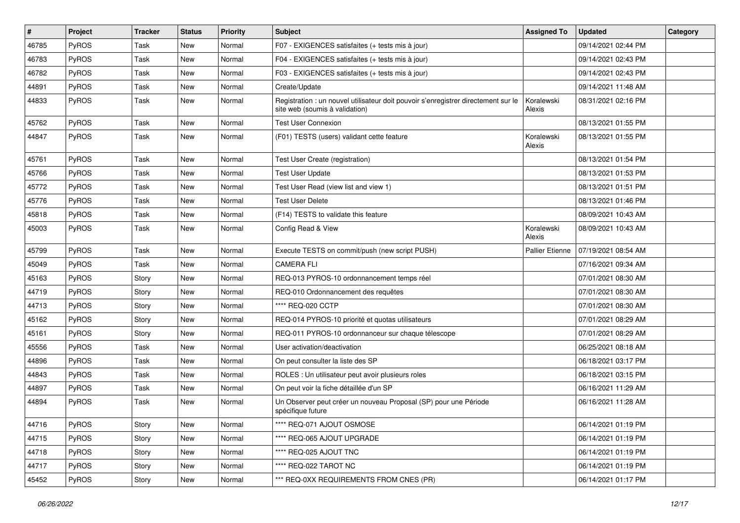| $\#$  | Project | <b>Tracker</b> | <b>Status</b> | <b>Priority</b> | Subject                                                                                                              | <b>Assigned To</b>     | <b>Updated</b>      | Category |
|-------|---------|----------------|---------------|-----------------|----------------------------------------------------------------------------------------------------------------------|------------------------|---------------------|----------|
| 46785 | PyROS   | Task           | New           | Normal          | F07 - EXIGENCES satisfaites (+ tests mis à jour)                                                                     |                        | 09/14/2021 02:44 PM |          |
| 46783 | PyROS   | Task           | <b>New</b>    | Normal          | F04 - EXIGENCES satisfaites (+ tests mis à jour)                                                                     |                        | 09/14/2021 02:43 PM |          |
| 46782 | PyROS   | Task           | New           | Normal          | F03 - EXIGENCES satisfaites (+ tests mis à jour)                                                                     |                        | 09/14/2021 02:43 PM |          |
| 44891 | PyROS   | Task           | New           | Normal          | Create/Update                                                                                                        |                        | 09/14/2021 11:48 AM |          |
| 44833 | PyROS   | Task           | New           | Normal          | Registration : un nouvel utilisateur doit pouvoir s'enregistrer directement sur le<br>site web (soumis à validation) | Koralewski<br>Alexis   | 08/31/2021 02:16 PM |          |
| 45762 | PyROS   | Task           | <b>New</b>    | Normal          | <b>Test User Connexion</b>                                                                                           |                        | 08/13/2021 01:55 PM |          |
| 44847 | PyROS   | Task           | New           | Normal          | (F01) TESTS (users) validant cette feature                                                                           | Koralewski<br>Alexis   | 08/13/2021 01:55 PM |          |
| 45761 | PyROS   | Task           | New           | Normal          | Test User Create (registration)                                                                                      |                        | 08/13/2021 01:54 PM |          |
| 45766 | PyROS   | Task           | New           | Normal          | <b>Test User Update</b>                                                                                              |                        | 08/13/2021 01:53 PM |          |
| 45772 | PyROS   | Task           | New           | Normal          | Test User Read (view list and view 1)                                                                                |                        | 08/13/2021 01:51 PM |          |
| 45776 | PyROS   | Task           | New           | Normal          | <b>Test User Delete</b>                                                                                              |                        | 08/13/2021 01:46 PM |          |
| 45818 | PyROS   | Task           | New           | Normal          | (F14) TESTS to validate this feature                                                                                 |                        | 08/09/2021 10:43 AM |          |
| 45003 | PyROS   | Task           | New           | Normal          | Config Read & View                                                                                                   | Koralewski<br>Alexis   | 08/09/2021 10:43 AM |          |
| 45799 | PyROS   | <b>Task</b>    | New           | Normal          | Execute TESTS on commit/push (new script PUSH)                                                                       | <b>Pallier Etienne</b> | 07/19/2021 08:54 AM |          |
| 45049 | PyROS   | Task           | New           | Normal          | <b>CAMERA FLI</b>                                                                                                    |                        | 07/16/2021 09:34 AM |          |
| 45163 | PyROS   | Story          | New           | Normal          | REQ-013 PYROS-10 ordonnancement temps réel                                                                           |                        | 07/01/2021 08:30 AM |          |
| 44719 | PyROS   | Story          | New           | Normal          | REQ-010 Ordonnancement des requêtes                                                                                  |                        | 07/01/2021 08:30 AM |          |
| 44713 | PyROS   | Story          | New           | Normal          | **** REQ-020 CCTP                                                                                                    |                        | 07/01/2021 08:30 AM |          |
| 45162 | PyROS   | Story          | New           | Normal          | REQ-014 PYROS-10 priorité et quotas utilisateurs                                                                     |                        | 07/01/2021 08:29 AM |          |
| 45161 | PyROS   | Story          | New           | Normal          | REQ-011 PYROS-10 ordonnanceur sur chaque télescope                                                                   |                        | 07/01/2021 08:29 AM |          |
| 45556 | PyROS   | Task           | New           | Normal          | User activation/deactivation                                                                                         |                        | 06/25/2021 08:18 AM |          |
| 44896 | PyROS   | Task           | New           | Normal          | On peut consulter la liste des SP                                                                                    |                        | 06/18/2021 03:17 PM |          |
| 44843 | PyROS   | Task           | New           | Normal          | ROLES : Un utilisateur peut avoir plusieurs roles                                                                    |                        | 06/18/2021 03:15 PM |          |
| 44897 | PyROS   | Task           | New           | Normal          | On peut voir la fiche détaillée d'un SP                                                                              |                        | 06/16/2021 11:29 AM |          |
| 44894 | PyROS   | Task           | New           | Normal          | Un Observer peut créer un nouveau Proposal (SP) pour une Période<br>spécifique future                                |                        | 06/16/2021 11:28 AM |          |
| 44716 | PyROS   | Story          | New           | Normal          | **** REQ-071 AJOUT OSMOSE                                                                                            |                        | 06/14/2021 01:19 PM |          |
| 44715 | PyROS   | Story          | New           | Normal          | **** REQ-065 AJOUT UPGRADE                                                                                           |                        | 06/14/2021 01:19 PM |          |
| 44718 | PyROS   | Story          | New           | Normal          | **** REQ-025 AJOUT TNC                                                                                               |                        | 06/14/2021 01:19 PM |          |
| 44717 | PyROS   | Story          | New           | Normal          | **** REQ-022 TAROT NC                                                                                                |                        | 06/14/2021 01:19 PM |          |
| 45452 | PyROS   | Story          | New           | Normal          | *** REQ-0XX REQUIREMENTS FROM CNES (PR)                                                                              |                        | 06/14/2021 01:17 PM |          |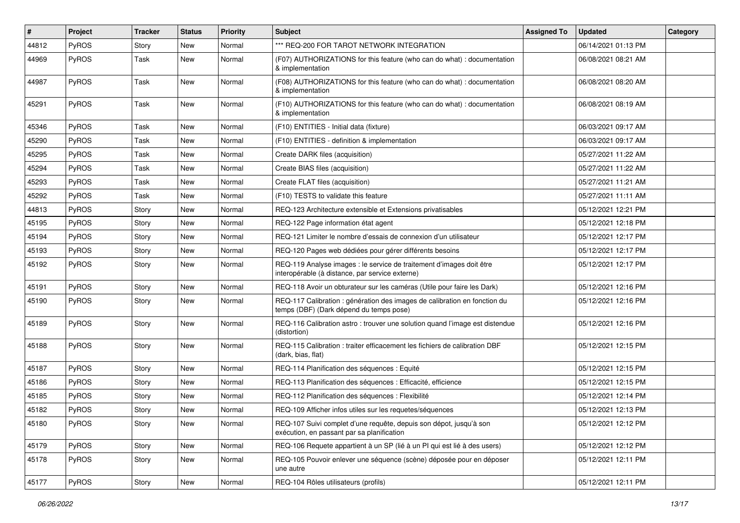| #     | Project      | <b>Tracker</b> | <b>Status</b> | <b>Priority</b> | <b>Subject</b>                                                                                                          | <b>Assigned To</b> | <b>Updated</b>      | Category |
|-------|--------------|----------------|---------------|-----------------|-------------------------------------------------------------------------------------------------------------------------|--------------------|---------------------|----------|
| 44812 | PyROS        | Story          | <b>New</b>    | Normal          | *** REQ-200 FOR TAROT NETWORK INTEGRATION                                                                               |                    | 06/14/2021 01:13 PM |          |
| 44969 | PyROS        | Task           | New           | Normal          | (F07) AUTHORIZATIONS for this feature (who can do what) : documentation<br>& implementation                             |                    | 06/08/2021 08:21 AM |          |
| 44987 | PyROS        | Task           | New           | Normal          | (F08) AUTHORIZATIONS for this feature (who can do what) : documentation<br>& implementation                             |                    | 06/08/2021 08:20 AM |          |
| 45291 | PyROS        | Task           | New           | Normal          | (F10) AUTHORIZATIONS for this feature (who can do what) : documentation<br>& implementation                             |                    | 06/08/2021 08:19 AM |          |
| 45346 | PyROS        | Task           | New           | Normal          | (F10) ENTITIES - Initial data (fixture)                                                                                 |                    | 06/03/2021 09:17 AM |          |
| 45290 | PyROS        | Task           | <b>New</b>    | Normal          | (F10) ENTITIES - definition & implementation                                                                            |                    | 06/03/2021 09:17 AM |          |
| 45295 | PyROS        | Task           | <b>New</b>    | Normal          | Create DARK files (acquisition)                                                                                         |                    | 05/27/2021 11:22 AM |          |
| 45294 | PyROS        | Task           | <b>New</b>    | Normal          | Create BIAS files (acquisition)                                                                                         |                    | 05/27/2021 11:22 AM |          |
| 45293 | PyROS        | Task           | New           | Normal          | Create FLAT files (acquisition)                                                                                         |                    | 05/27/2021 11:21 AM |          |
| 45292 | PyROS        | Task           | <b>New</b>    | Normal          | (F10) TESTS to validate this feature                                                                                    |                    | 05/27/2021 11:11 AM |          |
| 44813 | PyROS        | Story          | New           | Normal          | REQ-123 Architecture extensible et Extensions privatisables                                                             |                    | 05/12/2021 12:21 PM |          |
| 45195 | PyROS        | Story          | <b>New</b>    | Normal          | REQ-122 Page information état agent                                                                                     |                    | 05/12/2021 12:18 PM |          |
| 45194 | PyROS        | Story          | New           | Normal          | REQ-121 Limiter le nombre d'essais de connexion d'un utilisateur                                                        |                    | 05/12/2021 12:17 PM |          |
| 45193 | PyROS        | Story          | New           | Normal          | REQ-120 Pages web dédiées pour gérer différents besoins                                                                 |                    | 05/12/2021 12:17 PM |          |
| 45192 | PyROS        | Story          | New           | Normal          | REQ-119 Analyse images : le service de traitement d'images doit être<br>interopérable (à distance, par service externe) |                    | 05/12/2021 12:17 PM |          |
| 45191 | PyROS        | Story          | New           | Normal          | REQ-118 Avoir un obturateur sur les caméras (Utile pour faire les Dark)                                                 |                    | 05/12/2021 12:16 PM |          |
| 45190 | PyROS        | Story          | New           | Normal          | REQ-117 Calibration : génération des images de calibration en fonction du<br>temps (DBF) (Dark dépend du temps pose)    |                    | 05/12/2021 12:16 PM |          |
| 45189 | PyROS        | Story          | New           | Normal          | REQ-116 Calibration astro: trouver une solution quand l'image est distendue<br>(distortion)                             |                    | 05/12/2021 12:16 PM |          |
| 45188 | PyROS        | Story          | New           | Normal          | REQ-115 Calibration : traiter efficacement les fichiers de calibration DBF<br>(dark, bias, flat)                        |                    | 05/12/2021 12:15 PM |          |
| 45187 | <b>PyROS</b> | Story          | <b>New</b>    | Normal          | REQ-114 Planification des séquences : Equité                                                                            |                    | 05/12/2021 12:15 PM |          |
| 45186 | PyROS        | Story          | New           | Normal          | REQ-113 Planification des séquences : Efficacité, efficience                                                            |                    | 05/12/2021 12:15 PM |          |
| 45185 | PyROS        | Story          | New           | Normal          | REQ-112 Planification des séquences : Flexibilité                                                                       |                    | 05/12/2021 12:14 PM |          |
| 45182 | PyROS        | Story          | New           | Normal          | REQ-109 Afficher infos utiles sur les requetes/séquences                                                                |                    | 05/12/2021 12:13 PM |          |
| 45180 | PyROS        | Story          | New           | Normal          | REQ-107 Suivi complet d'une requête, depuis son dépot, jusqu'à son<br>exécution, en passant par sa planification        |                    | 05/12/2021 12:12 PM |          |
| 45179 | PyROS        | Story          | New           | Normal          | REQ-106 Requete appartient à un SP (lié à un PI qui est lié à des users)                                                |                    | 05/12/2021 12:12 PM |          |
| 45178 | PyROS        | Story          | New           | Normal          | REQ-105 Pouvoir enlever une séquence (scène) déposée pour en déposer<br>une autre                                       |                    | 05/12/2021 12:11 PM |          |
| 45177 | PyROS        | Story          | New           | Normal          | REQ-104 Rôles utilisateurs (profils)                                                                                    |                    | 05/12/2021 12:11 PM |          |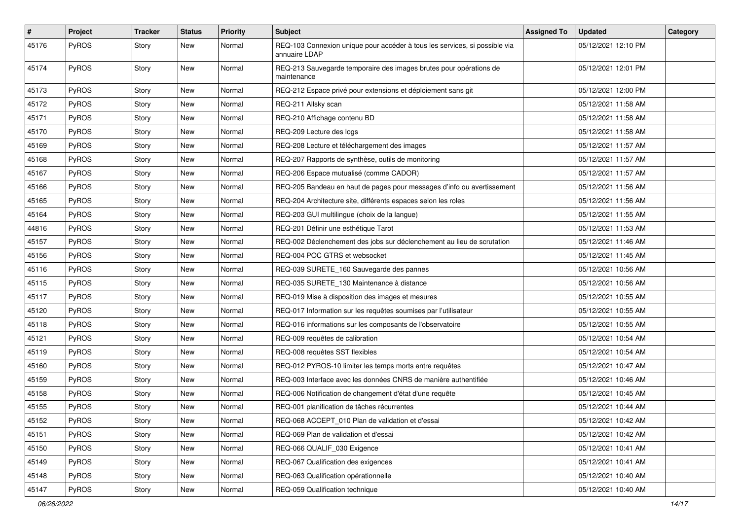| $\pmb{\#}$ | Project      | <b>Tracker</b> | <b>Status</b> | <b>Priority</b> | Subject                                                                                     | <b>Assigned To</b> | <b>Updated</b>      | Category |
|------------|--------------|----------------|---------------|-----------------|---------------------------------------------------------------------------------------------|--------------------|---------------------|----------|
| 45176      | PyROS        | Story          | <b>New</b>    | Normal          | REQ-103 Connexion unique pour accéder à tous les services, si possible via<br>annuaire LDAP |                    | 05/12/2021 12:10 PM |          |
| 45174      | PyROS        | Story          | <b>New</b>    | Normal          | REQ-213 Sauvegarde temporaire des images brutes pour opérations de<br>maintenance           |                    | 05/12/2021 12:01 PM |          |
| 45173      | PyROS        | Story          | <b>New</b>    | Normal          | REQ-212 Espace privé pour extensions et déploiement sans git                                |                    | 05/12/2021 12:00 PM |          |
| 45172      | <b>PyROS</b> | Story          | <b>New</b>    | Normal          | REQ-211 Allsky scan                                                                         |                    | 05/12/2021 11:58 AM |          |
| 45171      | PyROS        | Story          | <b>New</b>    | Normal          | REQ-210 Affichage contenu BD                                                                |                    | 05/12/2021 11:58 AM |          |
| 45170      | PyROS        | Story          | New           | Normal          | REQ-209 Lecture des logs                                                                    |                    | 05/12/2021 11:58 AM |          |
| 45169      | PyROS        | Story          | <b>New</b>    | Normal          | REQ-208 Lecture et téléchargement des images                                                |                    | 05/12/2021 11:57 AM |          |
| 45168      | PyROS        | Story          | <b>New</b>    | Normal          | REQ-207 Rapports de synthèse, outils de monitoring                                          |                    | 05/12/2021 11:57 AM |          |
| 45167      | PyROS        | Story          | <b>New</b>    | Normal          | REQ-206 Espace mutualisé (comme CADOR)                                                      |                    | 05/12/2021 11:57 AM |          |
| 45166      | <b>PyROS</b> | Story          | <b>New</b>    | Normal          | REQ-205 Bandeau en haut de pages pour messages d'info ou avertissement                      |                    | 05/12/2021 11:56 AM |          |
| 45165      | PyROS        | Story          | <b>New</b>    | Normal          | REQ-204 Architecture site, différents espaces selon les roles                               |                    | 05/12/2021 11:56 AM |          |
| 45164      | <b>PyROS</b> | Story          | <b>New</b>    | Normal          | REQ-203 GUI multilingue (choix de la langue)                                                |                    | 05/12/2021 11:55 AM |          |
| 44816      | PyROS        | Story          | <b>New</b>    | Normal          | REQ-201 Définir une esthétique Tarot                                                        |                    | 05/12/2021 11:53 AM |          |
| 45157      | PyROS        | Story          | New           | Normal          | REQ-002 Déclenchement des jobs sur déclenchement au lieu de scrutation                      |                    | 05/12/2021 11:46 AM |          |
| 45156      | PyROS        | Story          | <b>New</b>    | Normal          | REQ-004 POC GTRS et websocket                                                               |                    | 05/12/2021 11:45 AM |          |
| 45116      | PyROS        | Story          | <b>New</b>    | Normal          | REQ-039 SURETE_160 Sauvegarde des pannes                                                    |                    | 05/12/2021 10:56 AM |          |
| 45115      | <b>PyROS</b> | Story          | <b>New</b>    | Normal          | REQ-035 SURETE_130 Maintenance à distance                                                   |                    | 05/12/2021 10:56 AM |          |
| 45117      | PyROS        | Story          | <b>New</b>    | Normal          | REQ-019 Mise à disposition des images et mesures                                            |                    | 05/12/2021 10:55 AM |          |
| 45120      | PyROS        | Story          | New           | Normal          | REQ-017 Information sur les requêtes soumises par l'utilisateur                             |                    | 05/12/2021 10:55 AM |          |
| 45118      | PyROS        | Story          | <b>New</b>    | Normal          | REQ-016 informations sur les composants de l'observatoire                                   |                    | 05/12/2021 10:55 AM |          |
| 45121      | <b>PyROS</b> | Story          | <b>New</b>    | Normal          | REQ-009 requêtes de calibration                                                             |                    | 05/12/2021 10:54 AM |          |
| 45119      | <b>PyROS</b> | Story          | <b>New</b>    | Normal          | REQ-008 requêtes SST flexibles                                                              |                    | 05/12/2021 10:54 AM |          |
| 45160      | PyROS        | Story          | <b>New</b>    | Normal          | REQ-012 PYROS-10 limiter les temps morts entre requêtes                                     |                    | 05/12/2021 10:47 AM |          |
| 45159      | PyROS        | Story          | <b>New</b>    | Normal          | REQ-003 Interface avec les données CNRS de manière authentifiée                             |                    | 05/12/2021 10:46 AM |          |
| 45158      | PyROS        | Story          | <b>New</b>    | Normal          | REQ-006 Notification de changement d'état d'une requête                                     |                    | 05/12/2021 10:45 AM |          |
| 45155      | <b>PyROS</b> | Story          | <b>New</b>    | Normal          | REQ-001 planification de tâches récurrentes                                                 |                    | 05/12/2021 10:44 AM |          |
| 45152      | <b>PyROS</b> | Story          | New           | Normal          | REQ-068 ACCEPT 010 Plan de validation et d'essai                                            |                    | 05/12/2021 10:42 AM |          |
| 45151      | PyROS        | Story          | New           | Normal          | REQ-069 Plan de validation et d'essai                                                       |                    | 05/12/2021 10:42 AM |          |
| 45150      | PyROS        | Story          | New           | Normal          | REQ-066 QUALIF_030 Exigence                                                                 |                    | 05/12/2021 10:41 AM |          |
| 45149      | PyROS        | Story          | New           | Normal          | REQ-067 Qualification des exigences                                                         |                    | 05/12/2021 10:41 AM |          |
| 45148      | PyROS        | Story          | New           | Normal          | REQ-063 Qualification opérationnelle                                                        |                    | 05/12/2021 10:40 AM |          |
| 45147      | PyROS        | Story          | New           | Normal          | REQ-059 Qualification technique                                                             |                    | 05/12/2021 10:40 AM |          |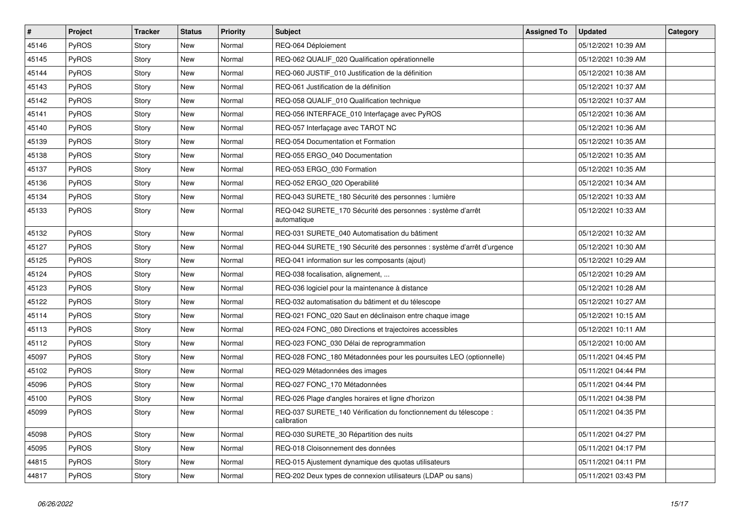| $\vert$ # | Project      | <b>Tracker</b> | <b>Status</b> | <b>Priority</b> | <b>Subject</b>                                                                  | <b>Assigned To</b> | <b>Updated</b>      | Category |
|-----------|--------------|----------------|---------------|-----------------|---------------------------------------------------------------------------------|--------------------|---------------------|----------|
| 45146     | <b>PyROS</b> | Story          | <b>New</b>    | Normal          | REQ-064 Déploiement                                                             |                    | 05/12/2021 10:39 AM |          |
| 45145     | PyROS        | Story          | <b>New</b>    | Normal          | REQ-062 QUALIF_020 Qualification opérationnelle                                 |                    | 05/12/2021 10:39 AM |          |
| 45144     | <b>PyROS</b> | Story          | New           | Normal          | REQ-060 JUSTIF 010 Justification de la définition                               |                    | 05/12/2021 10:38 AM |          |
| 45143     | <b>PyROS</b> | Story          | New           | Normal          | REQ-061 Justification de la définition                                          |                    | 05/12/2021 10:37 AM |          |
| 45142     | <b>PyROS</b> | Story          | New           | Normal          | REQ-058 QUALIF 010 Qualification technique                                      |                    | 05/12/2021 10:37 AM |          |
| 45141     | <b>PyROS</b> | Story          | New           | Normal          | REQ-056 INTERFACE_010 Interfaçage avec PyROS                                    |                    | 05/12/2021 10:36 AM |          |
| 45140     | PyROS        | Story          | New           | Normal          | REQ-057 Interfaçage avec TAROT NC                                               |                    | 05/12/2021 10:36 AM |          |
| 45139     | PyROS        | Story          | New           | Normal          | REQ-054 Documentation et Formation                                              |                    | 05/12/2021 10:35 AM |          |
| 45138     | <b>PyROS</b> | Story          | <b>New</b>    | Normal          | REQ-055 ERGO 040 Documentation                                                  |                    | 05/12/2021 10:35 AM |          |
| 45137     | PyROS        | Story          | <b>New</b>    | Normal          | REQ-053 ERGO_030 Formation                                                      |                    | 05/12/2021 10:35 AM |          |
| 45136     | PyROS        | Story          | <b>New</b>    | Normal          | REQ-052 ERGO_020 Operabilité                                                    |                    | 05/12/2021 10:34 AM |          |
| 45134     | PyROS        | Story          | <b>New</b>    | Normal          | REQ-043 SURETE 180 Sécurité des personnes : lumière                             |                    | 05/12/2021 10:33 AM |          |
| 45133     | PyROS        | Story          | <b>New</b>    | Normal          | REQ-042 SURETE_170 Sécurité des personnes : système d'arrêt<br>automatique      |                    | 05/12/2021 10:33 AM |          |
| 45132     | PyROS        | Story          | <b>New</b>    | Normal          | REQ-031 SURETE_040 Automatisation du bâtiment                                   |                    | 05/12/2021 10:32 AM |          |
| 45127     | <b>PyROS</b> | Story          | New           | Normal          | REQ-044 SURETE_190 Sécurité des personnes : système d'arrêt d'urgence           |                    | 05/12/2021 10:30 AM |          |
| 45125     | PyROS        | Story          | <b>New</b>    | Normal          | REQ-041 information sur les composants (ajout)                                  |                    | 05/12/2021 10:29 AM |          |
| 45124     | <b>PyROS</b> | Story          | New           | Normal          | REQ-038 focalisation, alignement,                                               |                    | 05/12/2021 10:29 AM |          |
| 45123     | <b>PyROS</b> | Story          | New           | Normal          | REQ-036 logiciel pour la maintenance à distance                                 |                    | 05/12/2021 10:28 AM |          |
| 45122     | <b>PyROS</b> | Story          | New           | Normal          | REQ-032 automatisation du bâtiment et du télescope                              |                    | 05/12/2021 10:27 AM |          |
| 45114     | PyROS        | Story          | New           | Normal          | REQ-021 FONC 020 Saut en déclinaison entre chaque image                         |                    | 05/12/2021 10:15 AM |          |
| 45113     | <b>PyROS</b> | Story          | New           | Normal          | REQ-024 FONC 080 Directions et trajectoires accessibles                         |                    | 05/12/2021 10:11 AM |          |
| 45112     | <b>PyROS</b> | Story          | <b>New</b>    | Normal          | REQ-023 FONC 030 Délai de reprogrammation                                       |                    | 05/12/2021 10:00 AM |          |
| 45097     | <b>PyROS</b> | Story          | New           | Normal          | REQ-028 FONC 180 Métadonnées pour les poursuites LEO (optionnelle)              |                    | 05/11/2021 04:45 PM |          |
| 45102     | PyROS        | Story          | <b>New</b>    | Normal          | REQ-029 Métadonnées des images                                                  |                    | 05/11/2021 04:44 PM |          |
| 45096     | PyROS        | Story          | <b>New</b>    | Normal          | REQ-027 FONC 170 Métadonnées                                                    |                    | 05/11/2021 04:44 PM |          |
| 45100     | PyROS        | Story          | New           | Normal          | REQ-026 Plage d'angles horaires et ligne d'horizon                              |                    | 05/11/2021 04:38 PM |          |
| 45099     | <b>PyROS</b> | Story          | New           | Normal          | REQ-037 SURETE_140 Vérification du fonctionnement du télescope :<br>calibration |                    | 05/11/2021 04:35 PM |          |
| 45098     | PyROS        | Story          | <b>New</b>    | Normal          | REQ-030 SURETE_30 Répartition des nuits                                         |                    | 05/11/2021 04:27 PM |          |
| 45095     | PyROS        | Story          | New           | Normal          | REQ-018 Cloisonnement des données                                               |                    | 05/11/2021 04:17 PM |          |
| 44815     | PyROS        | Story          | <b>New</b>    | Normal          | REQ-015 Ajustement dynamique des quotas utilisateurs                            |                    | 05/11/2021 04:11 PM |          |
| 44817     | PyROS        | Story          | <b>New</b>    | Normal          | REQ-202 Deux types de connexion utilisateurs (LDAP ou sans)                     |                    | 05/11/2021 03:43 PM |          |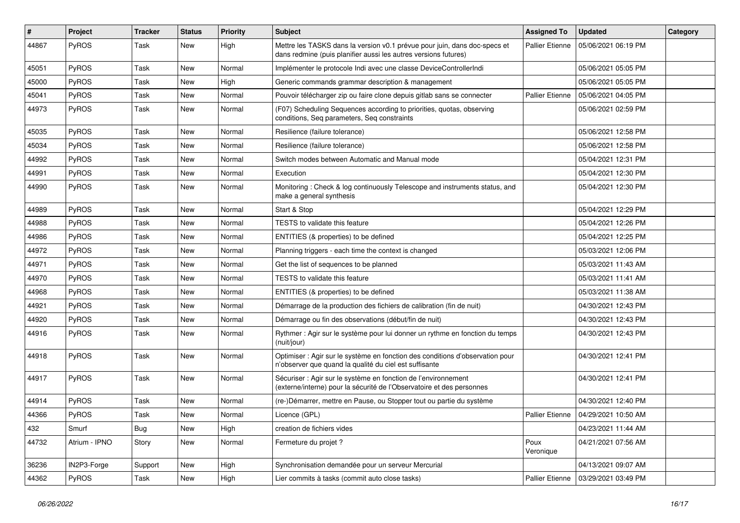| #     | Project       | <b>Tracker</b> | <b>Status</b> | <b>Priority</b> | <b>Subject</b>                                                                                                                               | <b>Assigned To</b>     | <b>Updated</b>      | Category |
|-------|---------------|----------------|---------------|-----------------|----------------------------------------------------------------------------------------------------------------------------------------------|------------------------|---------------------|----------|
| 44867 | PyROS         | Task           | New           | High            | Mettre les TASKS dans la version v0.1 prévue pour juin, dans doc-specs et<br>dans redmine (puis planifier aussi les autres versions futures) | <b>Pallier Etienne</b> | 05/06/2021 06:19 PM |          |
| 45051 | PyROS         | Task           | New           | Normal          | Implémenter le protocole Indi avec une classe DeviceControllerIndi                                                                           |                        | 05/06/2021 05:05 PM |          |
| 45000 | PyROS         | Task           | New           | High            | Generic commands grammar description & management                                                                                            |                        | 05/06/2021 05:05 PM |          |
| 45041 | PyROS         | Task           | New           | Normal          | Pouvoir télécharger zip ou faire clone depuis gitlab sans se connecter                                                                       | <b>Pallier Etienne</b> | 05/06/2021 04:05 PM |          |
| 44973 | PyROS         | Task           | New           | Normal          | (F07) Scheduling Sequences according to priorities, quotas, observing<br>conditions, Seq parameters, Seq constraints                         |                        | 05/06/2021 02:59 PM |          |
| 45035 | PyROS         | Task           | New           | Normal          | Resilience (failure tolerance)                                                                                                               |                        | 05/06/2021 12:58 PM |          |
| 45034 | PyROS         | Task           | New           | Normal          | Resilience (failure tolerance)                                                                                                               |                        | 05/06/2021 12:58 PM |          |
| 44992 | PyROS         | Task           | <b>New</b>    | Normal          | Switch modes between Automatic and Manual mode                                                                                               |                        | 05/04/2021 12:31 PM |          |
| 44991 | PyROS         | Task           | New           | Normal          | Execution                                                                                                                                    |                        | 05/04/2021 12:30 PM |          |
| 44990 | PyROS         | Task           | New           | Normal          | Monitoring: Check & log continuously Telescope and instruments status, and<br>make a general synthesis                                       |                        | 05/04/2021 12:30 PM |          |
| 44989 | PyROS         | Task           | <b>New</b>    | Normal          | Start & Stop                                                                                                                                 |                        | 05/04/2021 12:29 PM |          |
| 44988 | PyROS         | Task           | <b>New</b>    | Normal          | TESTS to validate this feature                                                                                                               |                        | 05/04/2021 12:26 PM |          |
| 44986 | PyROS         | Task           | New           | Normal          | ENTITIES (& properties) to be defined                                                                                                        |                        | 05/04/2021 12:25 PM |          |
| 44972 | PyROS         | Task           | New           | Normal          | Planning triggers - each time the context is changed                                                                                         |                        | 05/03/2021 12:06 PM |          |
| 44971 | PyROS         | Task           | New           | Normal          | Get the list of sequences to be planned                                                                                                      |                        | 05/03/2021 11:43 AM |          |
| 44970 | PyROS         | Task           | New           | Normal          | TESTS to validate this feature                                                                                                               |                        | 05/03/2021 11:41 AM |          |
| 44968 | PyROS         | Task           | New           | Normal          | ENTITIES (& properties) to be defined                                                                                                        |                        | 05/03/2021 11:38 AM |          |
| 44921 | PyROS         | Task           | New           | Normal          | Démarrage de la production des fichiers de calibration (fin de nuit)                                                                         |                        | 04/30/2021 12:43 PM |          |
| 44920 | PyROS         | Task           | <b>New</b>    | Normal          | Démarrage ou fin des observations (début/fin de nuit)                                                                                        |                        | 04/30/2021 12:43 PM |          |
| 44916 | PyROS         | Task           | New           | Normal          | Rythmer : Agir sur le système pour lui donner un rythme en fonction du temps<br>(nuit/jour)                                                  |                        | 04/30/2021 12:43 PM |          |
| 44918 | PyROS         | Task           | New           | Normal          | Optimiser : Agir sur le système en fonction des conditions d'observation pour<br>n'observer que quand la qualité du ciel est suffisante      |                        | 04/30/2021 12:41 PM |          |
| 44917 | PyROS         | Task           | New           | Normal          | Sécuriser : Agir sur le système en fonction de l'environnement<br>(externe/interne) pour la sécurité de l'Observatoire et des personnes      |                        | 04/30/2021 12:41 PM |          |
| 44914 | PyROS         | Task           | <b>New</b>    | Normal          | (re-)Démarrer, mettre en Pause, ou Stopper tout ou partie du système                                                                         |                        | 04/30/2021 12:40 PM |          |
| 44366 | PyROS         | Task           | New           | Normal          | Licence (GPL)                                                                                                                                | <b>Pallier Etienne</b> | 04/29/2021 10:50 AM |          |
| 432   | Smurf         | <b>Bug</b>     | New           | High            | creation de fichiers vides                                                                                                                   |                        | 04/23/2021 11:44 AM |          |
| 44732 | Atrium - IPNO | Story          | New           | Normal          | Fermeture du projet ?                                                                                                                        | Poux<br>Veronique      | 04/21/2021 07:56 AM |          |
| 36236 | IN2P3-Forge   | Support        | New           | High            | Synchronisation demandée pour un serveur Mercurial                                                                                           |                        | 04/13/2021 09:07 AM |          |
| 44362 | PyROS         | Task           | New           | High            | Lier commits à tasks (commit auto close tasks)                                                                                               | Pallier Etienne        | 03/29/2021 03:49 PM |          |